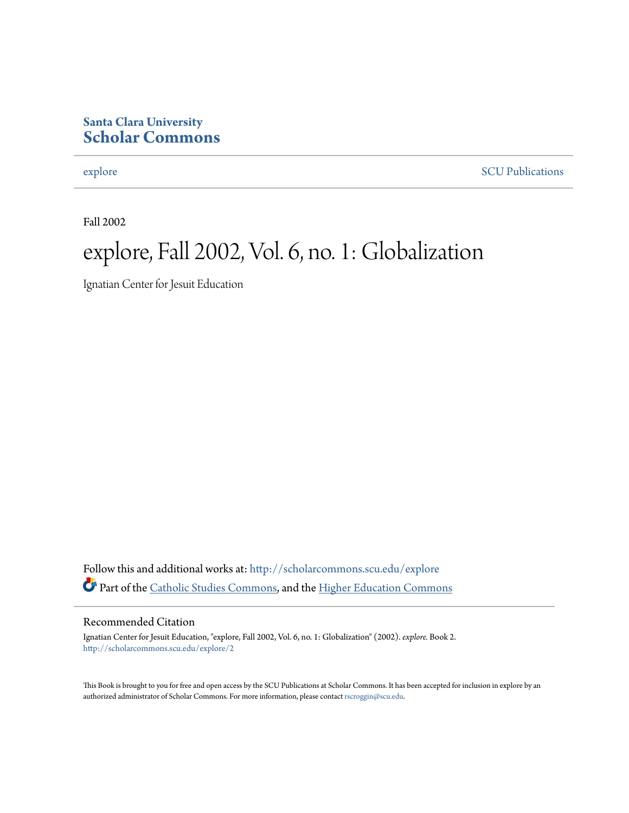#### **Santa Clara University [Scholar Commons](http://scholarcommons.scu.edu?utm_source=scholarcommons.scu.edu%2Fexplore%2F2&utm_medium=PDF&utm_campaign=PDFCoverPages)**

[explore](http://scholarcommons.scu.edu/explore?utm_source=scholarcommons.scu.edu%2Fexplore%2F2&utm_medium=PDF&utm_campaign=PDFCoverPages) [SCU Publications](http://scholarcommons.scu.edu/scu_pubs?utm_source=scholarcommons.scu.edu%2Fexplore%2F2&utm_medium=PDF&utm_campaign=PDFCoverPages)

Fall 2002

## explore, Fall 2002, Vol. 6, no. 1: Globalization

Ignatian Center for Jesuit Education

Follow this and additional works at: [http://scholarcommons.scu.edu/explore](http://scholarcommons.scu.edu/explore?utm_source=scholarcommons.scu.edu%2Fexplore%2F2&utm_medium=PDF&utm_campaign=PDFCoverPages) Part of the [Catholic Studies Commons,](http://network.bepress.com/hgg/discipline/1294?utm_source=scholarcommons.scu.edu%2Fexplore%2F2&utm_medium=PDF&utm_campaign=PDFCoverPages) and the [Higher Education Commons](http://network.bepress.com/hgg/discipline/1245?utm_source=scholarcommons.scu.edu%2Fexplore%2F2&utm_medium=PDF&utm_campaign=PDFCoverPages)

#### Recommended Citation

Ignatian Center for Jesuit Education, "explore, Fall 2002, Vol. 6, no. 1: Globalization" (2002). *explore.* Book 2. [http://scholarcommons.scu.edu/explore/2](http://scholarcommons.scu.edu/explore/2?utm_source=scholarcommons.scu.edu%2Fexplore%2F2&utm_medium=PDF&utm_campaign=PDFCoverPages)

This Book is brought to you for free and open access by the SCU Publications at Scholar Commons. It has been accepted for inclusion in explore by an authorized administrator of Scholar Commons. For more information, please contact [rscroggin@scu.edu.](mailto:rscroggin@scu.edu)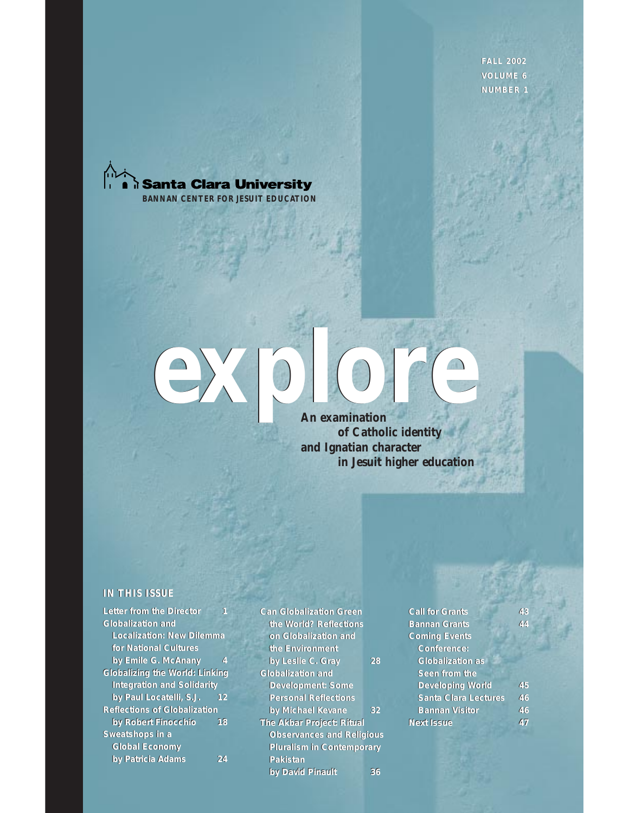**FALL 2002 VOLUME 6 NUMBER 1**





#### **An examination of Catholic identity and Ignatian character in Jesuit higher education**

#### **IN THIS ISSUE**

| <b>Letter from the Director</b>       | 1  | <b>Can Globalization Green</b> |
|---------------------------------------|----|--------------------------------|
| <b>Globalization and</b>              |    | the World? Reflections         |
| <b>Localization: New Dilemma</b>      |    | on Globalization and           |
| for National Cultures                 |    | the Environment                |
| by Emile G. McAnany                   | 4  | by Leslie C. Gray              |
| <b>Globalizing the World: Linking</b> |    | <b>Globalization and</b>       |
| <b>Integration and Solidarity</b>     |    | <b>Development: Some</b>       |
| by Paul Locatelli, S.J.               | 12 | <b>Personal Reflections</b>    |
| <b>Reflections of Globalization</b>   |    | by Michael Kevane              |
| by Robert Finocchio                   | 18 | The Akbar Project: Ritual      |
| Sweatshops in a                       |    | <b>Observances and Relig</b>   |
| <b>Global Economy</b>                 |    | <b>Pluralism in Contempor</b>  |
| by Patricia Adams                     | 24 | Pakistan                       |

**Can Globalization Green the World? Reflections on Globalization and on Globalization and the Environment the Environment** *by Leslie C. Gray* **28 Globalization and**  *by Leslie C.* **28Globalization and Development: Some Development: Some Personal Reflections Personal Reflections***by Michael Kevane* **32 The Akbar Project: Ritual Observances and Religious Pluralism in Contemporary Pakistan** *by David Pinault* **36** *by Michael Kevane* 32<br>The Akbar Project: Ritual<br>Observances and Religious<br>Pluralism in Contemporary<br>Pakistan **by David Pinault Pinault Pinault Pinault Pinault Pinault Pinault Pinault Pinault Pinault Pinault Pinault Pinault Pinault Pinault Pinault Pinault Pinault Pinault Pinault Pinault Pinault<br>
<b>by David Pinault Pinault Pinault P** 

| <b>Call for Grants</b>      | 43 |
|-----------------------------|----|
| <b>Bannan Grants</b>        | 44 |
| <b>Coming Events</b>        |    |
| Conference:                 |    |
| <b>Globalization as</b>     |    |
| Seen from the               |    |
| <b>Developing World</b>     | 45 |
| <b>Santa Clara Lectures</b> | 46 |
| <b>Bannan Visitor</b>       | 46 |
| <b>Next Issue</b>           | 47 |
|                             |    |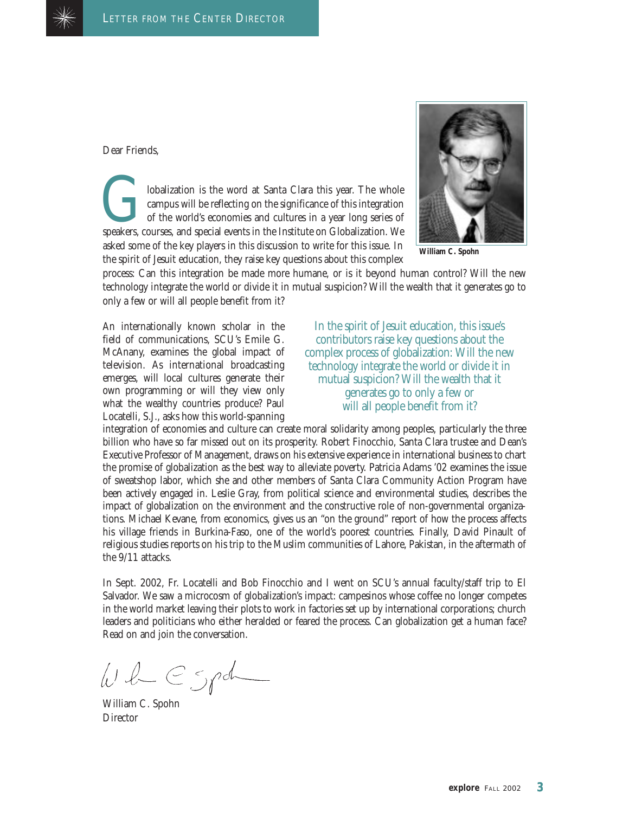

Dear Friends,

Iobalization is the word at Santa Clara this year. The whole<br>campus will be reflecting on the significance of this integration<br>of the world's economies and cultures in a year long series of<br>speakers, courses, and special e campus will be reflecting on the significance of this integration of the world's economies and cultures in a year long series of speakers, courses, and special events in the Institute on Globalization. We asked some of the key players in this discussion to write for this issue. In the spirit of Jesuit education, they raise key questions about this complex



**William C. Spohn**

process: Can this integration be made more humane, or is it beyond human control? Will the new technology integrate the world or divide it in mutual suspicion? Will the wealth that it generates go to only a few or will all people benefit from it?

An internationally known scholar in the field of communications, SCU's Emile G. McAnany, examines the global impact of television. As international broadcasting emerges, will local cultures generate their own programming or will they view only what the wealthy countries produce? Paul Locatelli, S.J., asks how this world-spanning

In the spirit of Jesuit education, this issue's contributors raise key questions about the complex process of globalization: Will the new technology integrate the world or divide it in mutual suspicion? Will the wealth that it generates go to only a few or will all people benefit from it?

integration of economies and culture can create moral solidarity among peoples, particularly the three billion who have so far missed out on its prosperity. Robert Finocchio, Santa Clara trustee and Dean's Executive Professor of Management, draws on his extensive experience in international business to chart the promise of globalization as the best way to alleviate poverty. Patricia Adams '02 examines the issue of sweatshop labor, which she and other members of Santa Clara Community Action Program have been actively engaged in. Leslie Gray, from political science and environmental studies, describes the impact of globalization on the environment and the constructive role of non-governmental organizations. Michael Kevane, from economics, gives us an "on the ground" report of how the process affects his village friends in Burkina-Faso, one of the world's poorest countries. Finally, David Pinault of religious studies reports on his trip to the Muslim communities of Lahore, Pakistan, in the aftermath of the 9/11 attacks.

In Sept. 2002, Fr. Locatelli and Bob Finocchio and I went on SCU's annual faculty/staff trip to El Salvador. We saw a microcosm of globalization's impact: campesinos whose coffee no longer competes in the world market leaving their plots to work in factories set up by international corporations; church leaders and politicians who either heralded or feared the process. Can globalization get a human face? Read on and join the conversation.

 $w \mathcal{L} \in {\mathcal S}$ 

William C. Spohn **Director**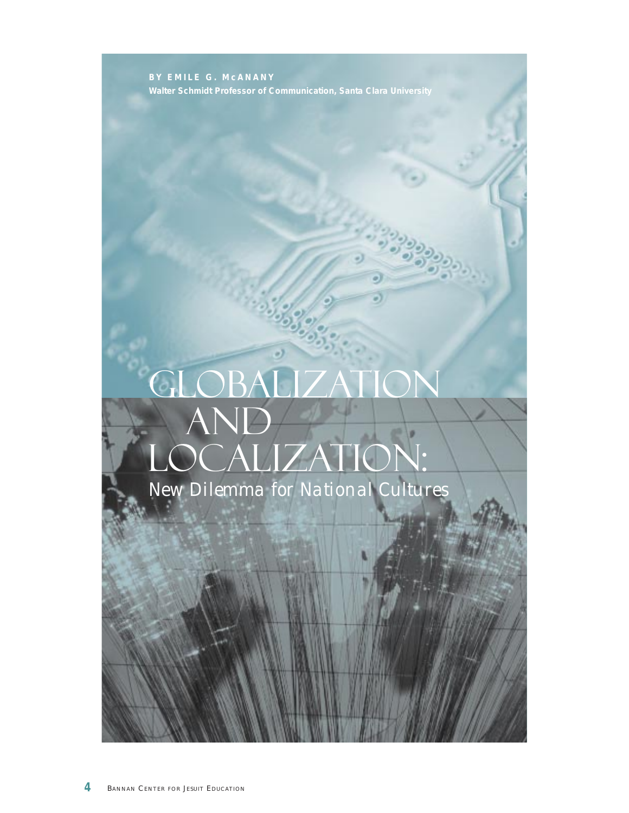**BY EMILE G. McANANY Walter Schmidt Professor of Communication, Santa Clara University**

# Globalization AND **AND** Localization: *New Dilemma for National Cultures*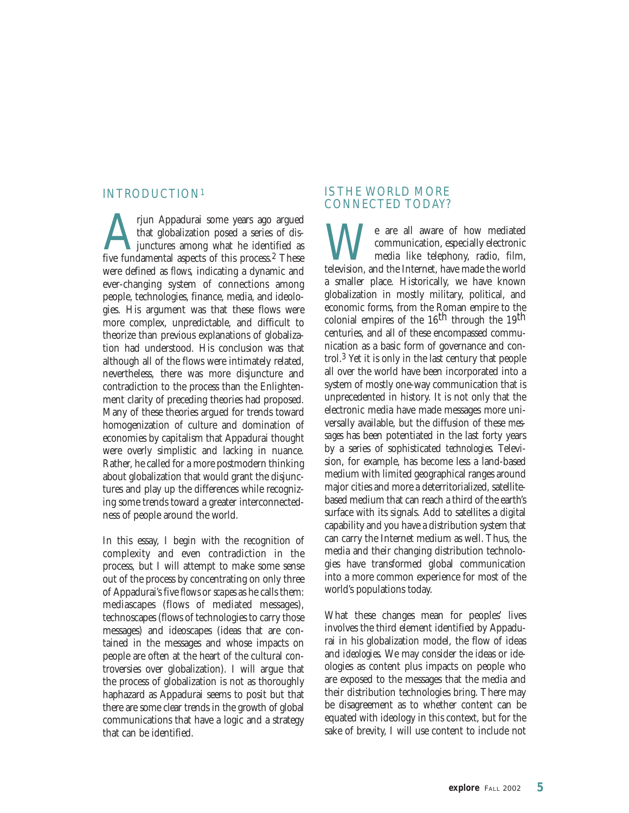#### INTRODUCTION1

Tjun Appadurai some years ago argued<br>that globalization posed a series of dis-<br>junctures among what he identified as<br>five fundamental aspects of this process.<sup>2</sup> These that globalization posed a series of disjunctures among what he identified as were defined as *flows*, indicating a dynamic and ever-changing system of connections among people, technologies, finance, media, and ideologies. His argument was that these flows were more complex, unpredictable, and difficult to theorize than previous explanations of globalization had understood. His conclusion was that although all of the flows were intimately related, nevertheless, there was more disjuncture and contradiction to the process than the Enlightenment clarity of preceding theories had proposed. Many of these theories argued for trends toward homogenization of culture and domination of economies by capitalism that Appadurai thought were overly simplistic and lacking in nuance. Rather, he called for a more postmodern thinking about globalization that would grant the disjunctures and play up the differences while recognizing some trends toward a greater interconnectedness of people around the world.

In this essay, I begin with the recognition of complexity and even contradiction in the process, but I will attempt to make some sense out of the process by concentrating on only three of Appadurai's five *flows* or *scapes* as he calls them: mediascapes (flows of mediated messages), technoscapes (flows of technologies to carry those messages) and ideoscapes (ideas that are contained in the messages and whose impacts on people are often at the heart of the cultural controversies over globalization). I will argue that the process of globalization is not as thoroughly haphazard as Appadurai seems to posit but that there are some clear trends in the growth of global communications that have a logic and a strategy that can be identified.

#### IS THE WORLD MORE CONNECTED TODAY?

We are all aware of how mediated communication, especially electronic media like telephony, radio, film, television, and the Internet, have made the world communication, especially electronic media like telephony, radio, film, a smaller place. Historically, we have known globalization in mostly military, political, and economic forms, from the Roman empire to the colonial empires of the  $16<sup>th</sup>$  through the  $19<sup>th</sup>$ centuries, and all of these encompassed communication as a basic form of governance and control.3 Yet it is only in the last century that people all over the world have been incorporated into a system of mostly one-way communication that is unprecedented in history. It is not only that the electronic media have made messages more universally available, but the diffusion of these *messages* has been potentiated in the last forty years by a series of sophisticated *technologies*. Television, for example, has become less a land-based medium with limited geographical ranges around major cities and more a deterritorialized, satellitebased medium that can reach a third of the earth's surface with its signals. Add to satellites a digital capability and you have a distribution system that can carry the Internet medium as well. Thus, the media and their changing distribution technologies have transformed global communication into a more common experience for most of the world's populations today.

What these changes mean for peoples' lives involves the third element identified by Appadurai in his globalization model, the flow of ideas and *ideologies*. We may consider the ideas or ideologies as content plus impacts on people who are exposed to the messages that the media and their distribution technologies bring. There may be disagreement as to whether content can be equated with ideology in this context, but for the sake of brevity, I will use content to include not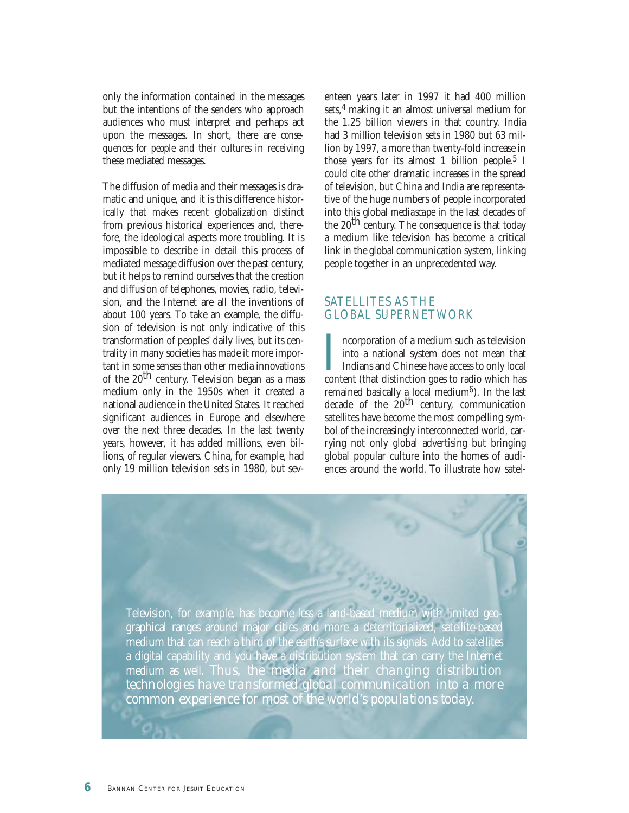only the information contained in the messages but the intentions of the senders who approach audiences who must interpret and perhaps act upon the messages. In short, there are *consequences for people and their cultures* in receiving these mediated messages.

The diffusion of media and their messages is dramatic and unique, and it is this difference historically that makes recent globalization distinct from previous historical experiences and, therefore, the ideological aspects more troubling. It is impossible to describe in detail this process of mediated message diffusion over the past century, but it helps to remind ourselves that the creation and diffusion of telephones, movies, radio, television, and the Internet are all the inventions of about 100 years. To take an example, the diffusion of television is not only indicative of this transformation of peoples' daily lives, but its centrality in many societies has made it more important in some senses than other media innovations of the 20th century. Television began as a *mass* medium only in the 1950s when it created a national audience in the United States. It reached significant audiences in Europe and elsewhere over the next three decades. In the last twenty years, however, it has added millions, even billions, of regular viewers. China, for example, had only 19 million television sets in 1980, but seventeen years later in 1997 it had 400 million sets,4 making it an almost universal medium for the 1.25 billion viewers in that country. India had 3 million television sets in 1980 but 63 million by 1997, a more than twenty-fold increase in those years for its almost 1 billion people.<sup>5</sup> I could cite other dramatic increases in the spread of television, but China and India are representative of the huge numbers of people incorporated into this global *mediascape* in the last decades of the  $20<sup>th</sup>$  century. The consequence is that today a medium like television has become a critical link in the global communication system, linking people together in an unprecedented way.

#### SATELLITES AS THE GLOBAL SUPERNETWORK

Incorporation of a medium such as television into a national system does not mean that Indians and Chinese have access to only local content (that distinction goes to radio which has ncorporation of a medium such as television into a national system does not mean that Indians and Chinese have access to only local remained basically a local medium<sup>6</sup>). In the last decade of the 20<sup>th</sup> century, communication satellites have become the most compelling symbol of the increasingly interconnected world, carrying not only global advertising but bringing global popular culture into the homes of audiences around the world. To illustrate how satel-

![](_page_5_Picture_5.jpeg)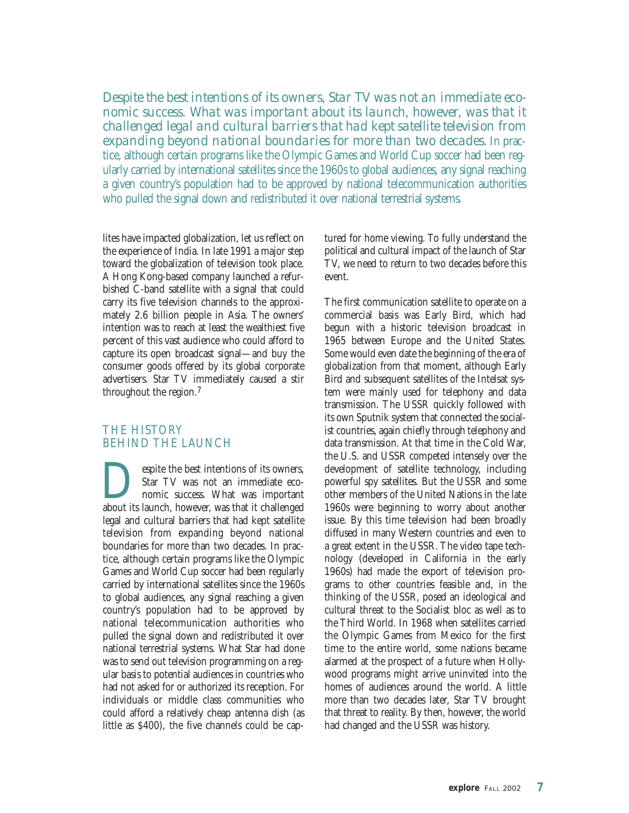*Despite the best intentions of its owners, Star TV was not an immediate economic success. What was important about its launch, however, was that it challenged legal and cultural barriers that had kept satellite television from expanding beyond national boundaries for more than two decades.* In practice, although certain programs like the Olympic Games and World Cup soccer had been regularly carried by international satellites since the 1960s to global audiences, any signal reaching a given country's population had to be approved by national telecommunication authorities who pulled the signal down and redistributed it over national terrestrial systems.

lites have impacted globalization, let us reflect on the experience of India. In late 1991 a major step toward the globalization of television took place. A Hong Kong-based company launched a refurbished C-band satellite with a signal that could carry its five television channels to the approximately 2.6 billion people in Asia. The owners' intention was to reach at least the wealthiest five percent of this vast audience who could afford to capture its open broadcast signal—and buy the consumer goods offered by its global corporate advertisers. Star TV immediately caused a stir throughout the region.7

#### THE HISTORY BEHIND THE LAUNCH

**Example 1** Star TV was not an immediate economic success. What was important about its launch, however, was that it challenged Star TV was not an immediate economic success. What was important legal and cultural barriers that had kept satellite television from expanding beyond national boundaries for more than two decades. In practice, although certain programs like the Olympic Games and World Cup soccer had been regularly carried by international satellites since the 1960s to global audiences, any signal reaching a given country's population had to be approved by national telecommunication authorities who pulled the signal down and redistributed it over national terrestrial systems. What Star had done was to send out television programming on a regular basis to potential audiences in countries who had not asked for or authorized its reception. For individuals or middle class communities who could afford a relatively cheap antenna dish (as little as \$400), the five channels could be captured for home viewing. To fully understand the political and cultural impact of the launch of Star TV, we need to return to two decades before this event.

The first communication satellite to operate on a commercial basis was Early Bird, which had begun with a historic television broadcast in 1965 between Europe and the United States. Some would even date the beginning of the era of globalization from that moment, although Early Bird and subsequent satellites of the Intelsat system were mainly used for telephony and data transmission. The USSR quickly followed with its own Sputnik system that connected the socialist countries, again chiefly through telephony and data transmission. At that time in the Cold War, the U.S. and USSR competed intensely over the development of satellite technology, including powerful spy satellites. But the USSR and some other members of the United Nations in the late 1960s were beginning to worry about another issue. By this time television had been broadly diffused in many Western countries and even to a great extent in the USSR. The video tape technology (developed in California in the early 1960s) had made the export of television programs to other countries feasible and, in the thinking of the USSR, posed an ideological and cultural threat to the Socialist bloc as well as to the Third World. In 1968 when satellites carried the Olympic Games from Mexico for the first time to the entire world, some nations became alarmed at the prospect of a future when Hollywood programs might arrive uninvited into the homes of audiences around the world. A little more than two decades later, Star TV brought that threat to reality. By then, however, the world had changed and the USSR was history.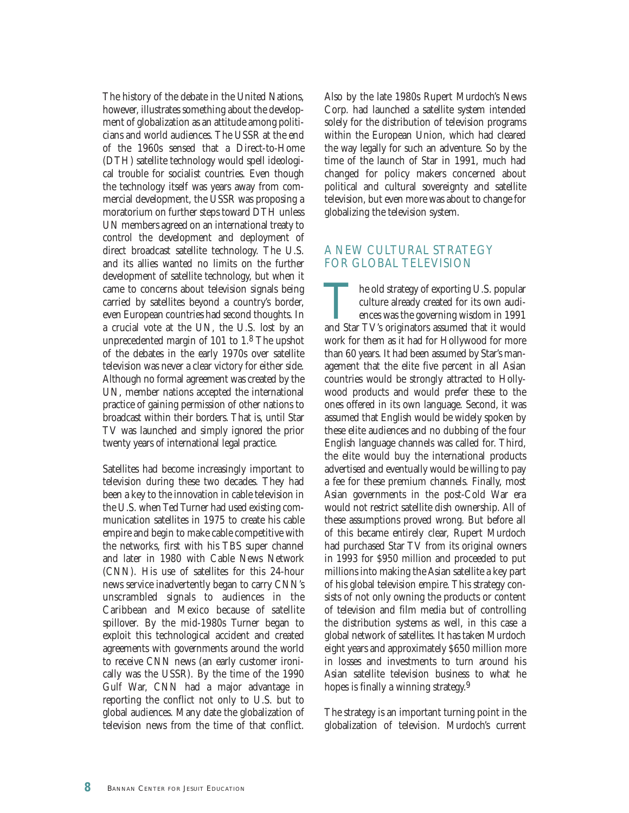The history of the debate in the United Nations, however, illustrates something about the development of globalization as an attitude among politicians and world audiences. The USSR at the end of the 1960s sensed that a Direct-to-Home (DTH) satellite technology would spell ideological trouble for socialist countries. Even though the technology itself was years away from commercial development, the USSR was proposing a moratorium on further steps toward DTH unless UN members agreed on an international treaty to control the development and deployment of direct broadcast satellite technology. The U.S. and its allies wanted no limits on the further development of satellite technology, but when it came to concerns about television signals being carried by satellites beyond a country's border, even European countries had second thoughts. In a crucial vote at the UN, the U.S. lost by an unprecedented margin of 101 to 1.8 The upshot of the debates in the early 1970s over satellite television was never a clear victory for either side. Although no formal agreement was created by the UN, member nations accepted the international practice of gaining permission of other nations to broadcast within their borders. That is, until Star TV was launched and simply ignored the prior twenty years of international legal practice.

Satellites had become increasingly important to television during these two decades. They had been a key to the innovation in cable television in the U.S. when Ted Turner had used existing communication satellites in 1975 to create his cable empire and begin to make cable competitive with the networks, first with his TBS super channel and later in 1980 with Cable News Network (CNN). His use of satellites for this 24-hour news service inadvertently began to carry CNN's unscrambled signals to audiences in the Caribbean and Mexico because of satellite spillover. By the mid-1980s Turner began to exploit this technological accident and created agreements with governments around the world to receive CNN news (an early customer ironically was the USSR). By the time of the 1990 Gulf War, CNN had a major advantage in reporting the conflict not only to U.S. but to global audiences. Many date the globalization of television news from the time of that conflict. Also by the late 1980s Rupert Murdoch's News Corp. had launched a satellite system intended solely for the distribution of television programs within the European Union, which had cleared the way legally for such an adventure. So by the time of the launch of Star in 1991, much had changed for policy makers concerned about political and cultural sovereignty and satellite television, but even more was about to change for globalizing the television system.

#### A NEW CULTURAL STRATEGY FOR GLOBAL TELEVISION

The old strategy of exporting U.S. popular culture already created for its own audi-<br>ences was the governing wisdom in 1991<br>and Star TV's originators assumed that it would culture already created for its own audiences was the governing wisdom in 1991 work for them as it had for Hollywood for more than 60 years. It had been assumed by Star's management that the elite five percent in all Asian countries would be strongly attracted to Hollywood products and would prefer these to the ones offered in its own language. Second, it was assumed that English would be widely spoken by these elite audiences and no dubbing of the four English language channels was called for. Third, the elite would buy the international products advertised and eventually would be willing to pay a fee for these premium channels. Finally, most Asian governments in the post-Cold War era would not restrict satellite dish ownership. All of these assumptions proved wrong. But before all of this became entirely clear, Rupert Murdoch had purchased Star TV from its original owners in 1993 for \$950 million and proceeded to put millions into making the Asian satellite a key part of his global television empire. This strategy consists of not only owning the products or content of television and film media but of controlling the distribution systems as well, in this case a global network of satellites. It has taken Murdoch eight years and approximately \$650 million more in losses and investments to turn around his Asian satellite television business to what he hopes is finally a winning strategy.9

The strategy is an important turning point in the globalization of television. Murdoch's current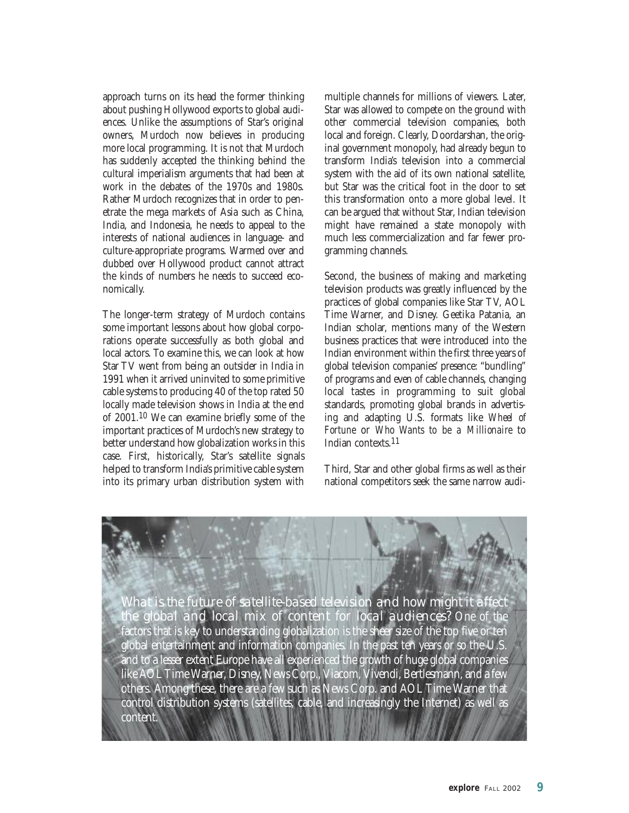approach turns on its head the former thinking about pushing Hollywood exports to global audiences. Unlike the assumptions of Star's original owners, Murdoch now believes in producing more local programming. It is not that Murdoch has suddenly accepted the thinking behind the cultural imperialism arguments that had been at work in the debates of the 1970s and 1980s. Rather Murdoch recognizes that in order to penetrate the mega markets of Asia such as China, India, and Indonesia, he needs to appeal to the interests of national audiences in language- and culture-appropriate programs. Warmed over and dubbed over Hollywood product cannot attract the kinds of numbers he needs to succeed economically.

The longer-term strategy of Murdoch contains some important lessons about how global corporations operate successfully as both global and local actors. To examine this, we can look at how Star TV went from being an outsider in India in 1991 when it arrived uninvited to some primitive cable systems to producing 40 of the top rated 50 locally made television shows in India at the end of 2001.10 We can examine briefly some of the important practices of Murdoch's new strategy to better understand how globalization works in this case. First, historically, Star's satellite signals helped to transform India's primitive cable system into its primary urban distribution system with multiple channels for millions of viewers. Later, Star was allowed to compete on the ground with other commercial television companies, both local and foreign. Clearly, Doordarshan, the original government monopoly, had already begun to transform India's television into a commercial system with the aid of its own national satellite, but Star was the critical foot in the door to set this transformation onto a more global level. It can be argued that without Star, Indian television might have remained a state monopoly with much less commercialization and far fewer programming channels.

Second, the business of making and marketing television products was greatly influenced by the practices of global companies like Star TV, AOL Time Warner, and Disney. Geetika Patania, an Indian scholar, mentions many of the Western business practices that were introduced into the Indian environment within the first three years of global television companies' presence: "bundling" of programs and even of cable channels, changing local tastes in programming to suit global standards, promoting global brands in advertising and adapting U.S. formats like *Wheel of Fortune* or *Who Wants to be a Millionaire* to Indian contexts.11

Third, Star and other global firms as well as their national competitors seek the same narrow audi-

![](_page_8_Picture_5.jpeg)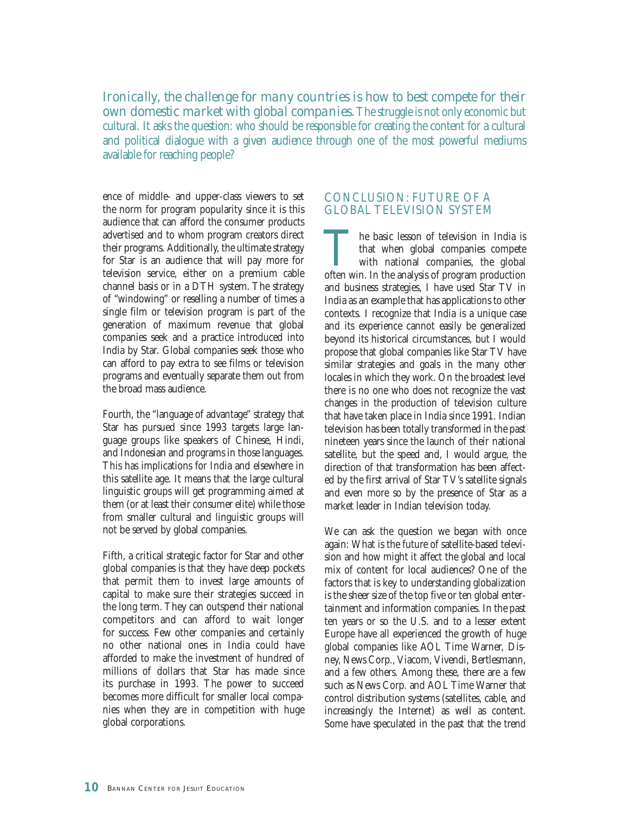*Ironically, the challenge for many countries is how to best compete for their own domestic market with global companies.*The struggle is not only economic but cultural. It asks the question: who should be responsible for creating the content for a cultural and political dialogue with a given audience through one of the most powerful mediums available for reaching people?

ence of middle- and upper-class viewers to set the norm for program popularity since it is this audience that can afford the consumer products advertised and to whom program creators direct their programs. Additionally, the ultimate strategy for Star is an audience that will pay more for television service, either on a premium cable channel basis or in a DTH system. The strategy of "windowing" or reselling a number of times a single film or television program is part of the generation of maximum revenue that global companies seek and a practice introduced into India by Star. Global companies seek those who can afford to pay extra to see films or television programs and eventually separate them out from the broad mass audience.

Fourth, the "language of advantage" strategy that Star has pursued since 1993 targets large language groups like speakers of Chinese, Hindi, and Indonesian and programs in those languages. This has implications for India and elsewhere in this satellite age. It means that the large cultural linguistic groups will get programming aimed at them (or at least their consumer elite) while those from smaller cultural and linguistic groups will not be served by global companies.

Fifth, a critical strategic factor for Star and other global companies is that they have deep pockets that permit them to invest large amounts of capital to make sure their strategies succeed in the long term. They can outspend their national competitors and can afford to wait longer for success. Few other companies and certainly no other national ones in India could have afforded to make the investment of hundred of millions of dollars that Star has made since its purchase in 1993. The power to succeed becomes more difficult for smaller local companies when they are in competition with huge global corporations.

#### CONCLUSION: FUTURE OF A GLOBAL TELEVISION SYSTEM

The basic lesson of television in India is<br>that when global companies compete<br>with national companies, the global<br>often win. In the analysis of program production that when global companies compete with national companies, the global often win. In the analysis of program production and business strategies, I have used Star TV in India as an example that has applications to other contexts. I recognize that India is a unique case and its experience cannot easily be generalized beyond its historical circumstances, but I would propose that global companies like Star TV have similar strategies and goals in the many other locales in which they work. On the broadest level there is no one who does not recognize the vast changes in the production of television culture that have taken place in India since 1991. Indian television has been totally transformed in the past nineteen years since the launch of their national satellite, but the speed and, I would argue, the direction of that transformation has been affected by the first arrival of Star TV's satellite signals and even more so by the presence of Star as a market leader in Indian television today.

We can ask the question we began with once again: What is the future of satellite-based television and how might it affect the global and local mix of content for local audiences? One of the factors that is key to understanding globalization is the sheer size of the top five or ten global entertainment and information companies. In the past ten years or so the U.S. and to a lesser extent Europe have all experienced the growth of huge global companies like AOL Time Warner, Disney, News Corp., Viacom, Vivendi, Bertlesmann, and a few others. Among these, there are a few such as News Corp. and AOL Time Warner that control distribution systems (satellites, cable, and increasingly the Internet) as well as content. Some have speculated in the past that the trend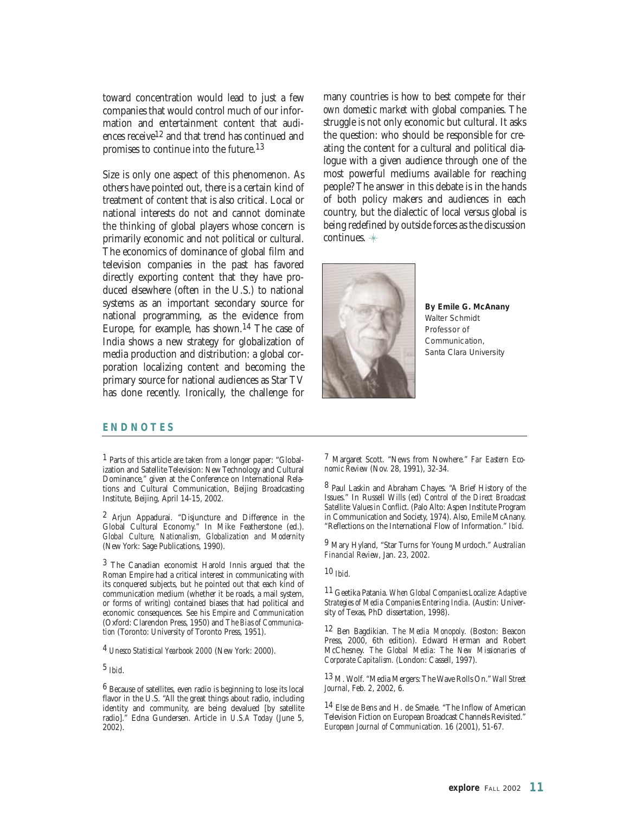toward concentration would lead to just a few companies that would control much of our information and entertainment content that audiences receive12 and that trend has continued and promises to continue into the future.13

Size is only one aspect of this phenomenon. As others have pointed out, there is a certain kind of treatment of content that is also critical. Local or national interests do not and cannot dominate the thinking of global players whose concern is primarily economic and not political or cultural. The economics of dominance of global film and television companies in the past has favored directly exporting content that they have produced elsewhere (often in the U.S.) to national systems as an important secondary source for national programming, as the evidence from Europe, for example, has shown.14 The case of India shows a new strategy for globalization of media production and distribution: a global corporation localizing content and becoming the primary source for national audiences as Star TV has done recently. Ironically, the challenge for

many countries is how to best compete *for their own domestic market* with global companies. The struggle is not only economic but cultural. It asks the question: who should be responsible for creating the content for a cultural and political dialogue with a given audience through one of the most powerful mediums available for reaching people? The answer in this debate is in the hands of both policy makers and audiences in each country, but the dialectic of local versus global is being redefined by outside forces as the discussion continues.

![](_page_10_Picture_3.jpeg)

**By Emile G. McAnany** *Walter Schmidt Professor of Communication, Santa Clara University*

#### **ENDNOTES**

1 Parts of this article are taken from a longer paper: "Globalization and Satellite Television: New Technology and Cultural Dominance," given at the Conference on International Relations and Cultural Communication, Beijing Broadcasting Institute, Beijing, April 14-15, 2002.

2 Arjun Appadurai. "Disjuncture and Difference in the Global Cultural Economy." In Mike Featherstone (ed.). *Global Culture, Nationalism, Globalization and Modernity* (New York: Sage Publications, 1990).

3 The Canadian economist Harold Innis argued that the Roman Empire had a critical interest in communicating with its conquered subjects, but he pointed out that each kind of communication medium (whether it be roads, a mail system, or forms of writing) contained biases that had political and economic consequences. See his *Empire and Communication* (Oxford: Clarendon Press, 1950) and *The Bias of Communication* (Toronto: University of Toronto Press, 1951).

4 *Unesco Statistical Yearbook 2000* (New York: 2000).

5 *Ibid*.

6 Because of satellites, even radio is beginning to lose its local flavor in the U.S. "All the great things about radio, including identity and community, are being devalued [by satellite radio]." Edna Gundersen. Article in *U.S.A Today* (June 5, 2002).

7 Margaret Scott. "News from Nowhere." *Far Eastern Economic Review* (Nov. 28, 1991), 32-34.

8 Paul Laskin and Abraham Chayes. "A Brief History of the Issues." In Russell Wills (ed) *Control of the Direct Broadcast Satellite: Values in Conflict*. (Palo Alto: Aspen Institute Program in Communication and Society, 1974). Also, Emile McAnany. "Reflections on the International Flow of Information." *Ibid.*

9 Mary Hyland, "Star Turns for Young Murdoch." *Australian Financial Review*, Jan. 23, 2002.

10 *Ibid*.

11 Geetika Patania. *When Global Companies Localize: Adaptive Strategies of Media Companies Entering India.* (Austin: University of Texas, PhD dissertation, 1998).

12 Ben Bagdikian. *The Media Monopoly*. (Boston: Beacon Press, 2000, 6th edition). Edward Herman and Robert McChesney. *The Global Media: The New Missionaries of Corporate Capitalism.* (London: Cassell, 1997).

13 M. Wolf. "Media Mergers: The Wave Rolls On." *Wall Street Journal*, Feb. 2, 2002, 6.

14 Else de Bens and H. de Smaele. "The Inflow of American Television Fiction on European Broadcast Channels Revisited." *European Journal of Communication.* 16 (2001), 51-67.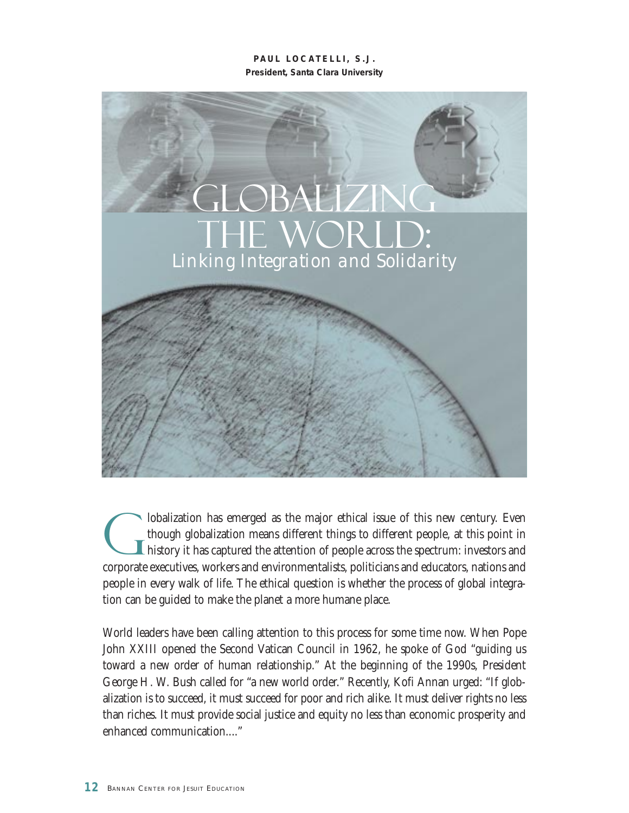**PAUL LOCATELLI, S.J. President, Santa Clara University**

![](_page_11_Picture_1.jpeg)

Iobalization has emerged as the major ethical issue of this new century. Even<br>though globalization means different things to different people, at this point in<br>history it has captured the attention of people across the spe though globalization means different things to different people, at this point in history it has captured the attention of people across the spectrum: investors and corporate executives, workers and environmentalists, politicians and educators, nations and people in every walk of life. The ethical question is whether the process of global integration can be guided to make the planet a more humane place.

World leaders have been calling attention to this process for some time now. When Pope John XXIII opened the Second Vatican Council in 1962, he spoke of God "guiding us toward a new order of human relationship." At the beginning of the 1990s, President George H. W. Bush called for "a new world order." Recently, Kofi Annan urged: "If globalization is to succeed, it must succeed for poor and rich alike. It must deliver rights no less than riches. It must provide social justice and equity no less than economic prosperity and enhanced communication...."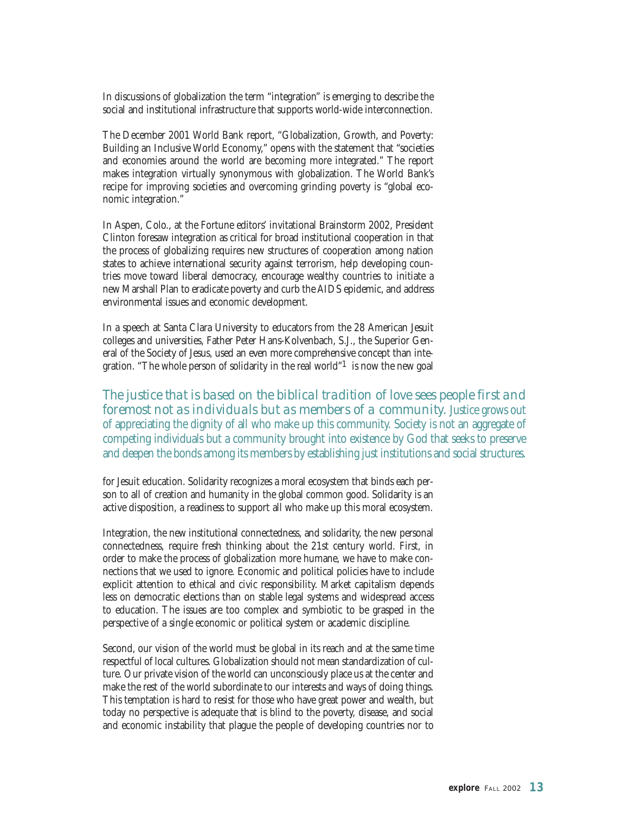In discussions of globalization the term "integration" is emerging to describe the social and institutional infrastructure that supports world-wide interconnection.

The December 2001 World Bank report, "Globalization, Growth, and Poverty: Building an Inclusive World Economy," opens with the statement that "societies and economies around the world are becoming more integrated." The report makes integration virtually synonymous with globalization. The World Bank's recipe for improving societies and overcoming grinding poverty is "global economic integration."

In Aspen, Colo., at the Fortune editors' invitational Brainstorm 2002, President Clinton foresaw integration as critical for broad institutional cooperation in that the process of globalizing requires new structures of cooperation among nation states to achieve international security against terrorism, help developing countries move toward liberal democracy, encourage wealthy countries to initiate a new Marshall Plan to eradicate poverty and curb the AIDS epidemic, and address environmental issues and economic development.

In a speech at Santa Clara University to educators from the 28 American Jesuit colleges and universities, Father Peter Hans-Kolvenbach, S.J., the Superior General of the Society of Jesus, used an even more comprehensive concept than integration. "The whole person of solidarity in the real world"1 is now the new goal

*The justice that is based on the biblical tradition of love sees people first and foremost not as individuals but as members of a community.* Justice grows out of appreciating the dignity of all who make up this community. Society is not an aggregate of competing individuals but a community brought into existence by God that seeks to preserve and deepen the bonds among its members by establishing just institutions and social structures.

for Jesuit education. Solidarity recognizes a moral ecosystem that binds each person to all of creation and humanity in the global common good. Solidarity is an active disposition, a readiness to support all who make up this moral ecosystem.

Integration, the new institutional connectedness, and solidarity, the new personal connectedness, require fresh thinking about the 21st century world. First, in order to make the process of globalization more humane, we have to make connections that we used to ignore. Economic and political policies have to include explicit attention to ethical and civic responsibility. Market capitalism depends less on democratic elections than on stable legal systems and widespread access to education. The issues are too complex and symbiotic to be grasped in the perspective of a single economic or political system or academic discipline.

Second, our vision of the world must be global in its reach and at the same time respectful of local cultures. Globalization should not mean standardization of culture. Our private vision of the world can unconsciously place us at the center and make the rest of the world subordinate to our interests and ways of doing things. This temptation is hard to resist for those who have great power and wealth, but today no perspective is adequate that is blind to the poverty, disease, and social and economic instability that plague the people of developing countries nor to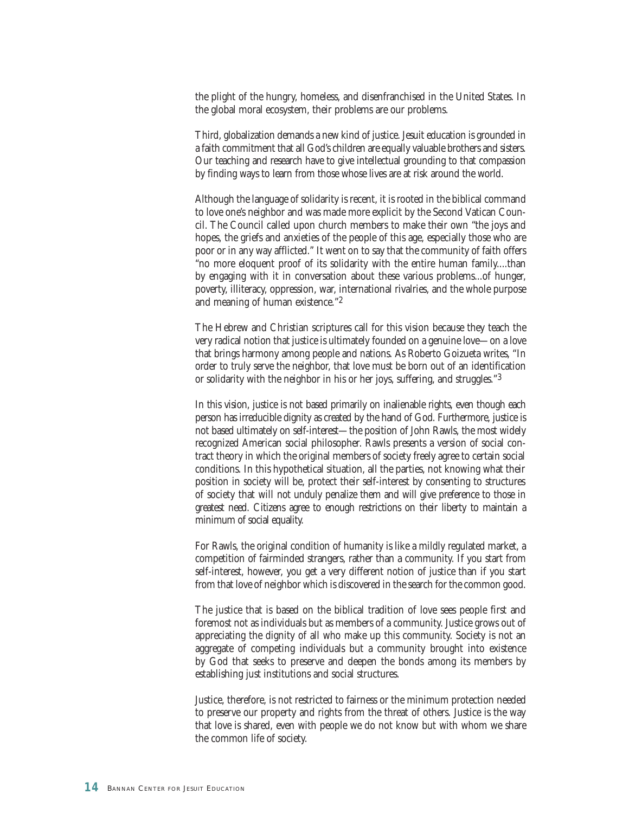the plight of the hungry, homeless, and disenfranchised in the United States. In the global moral ecosystem, their problems are our problems.

Third, globalization demands a new kind of justice. Jesuit education is grounded in a faith commitment that all God's children are equally valuable brothers and sisters. Our teaching and research have to give intellectual grounding to that compassion by finding ways to learn from those whose lives are at risk around the world.

Although the language of solidarity is recent, it is rooted in the biblical command to love one's neighbor and was made more explicit by the Second Vatican Council. The Council called upon church members to make their own "the joys and hopes, the griefs and anxieties of the people of this age, especially those who are poor or in any way afflicted." It went on to say that the community of faith offers "no more eloquent proof of its solidarity with the entire human family....than by engaging with it in conversation about these various problems...of hunger, poverty, illiteracy, oppression, war, international rivalries, and the whole purpose and meaning of human existence."2

The Hebrew and Christian scriptures call for this vision because they teach the very radical notion that justice is ultimately founded on a genuine love—on a love that brings harmony among people and nations. As Roberto Goizueta writes, "In order to truly serve the neighbor, that love must be born out of an identification or solidarity with the neighbor in his or her joys, suffering, and struggles."3

In this vision, justice is not based primarily on inalienable rights, even though each person has irreducible dignity as created by the hand of God. Furthermore, justice is not based ultimately on self-interest—the position of John Rawls, the most widely recognized American social philosopher. Rawls presents a version of social contract theory in which the original members of society freely agree to certain social conditions. In this hypothetical situation, all the parties, not knowing what their position in society will be, protect their self-interest by consenting to structures of society that will not unduly penalize them and will give preference to those in greatest need. Citizens agree to enough restrictions on their liberty to maintain a minimum of social equality.

For Rawls, the original condition of humanity is like a mildly regulated market, a competition of fairminded strangers, rather than a community. If you start from self-interest, however, you get a very different notion of justice than if you start from that love of neighbor which is discovered in the search for the common good.

The justice that is based on the biblical tradition of love sees people first and foremost not as individuals but as members of a community. Justice grows out of appreciating the dignity of all who make up this community. Society is not an aggregate of competing individuals but a community brought into existence by God that seeks to preserve and deepen the bonds among its members by establishing just institutions and social structures.

Justice, therefore, is not restricted to fairness or the minimum protection needed to preserve our property and rights from the threat of others. Justice is the way that love is shared, even with people we do not know but with whom we share the common life of society.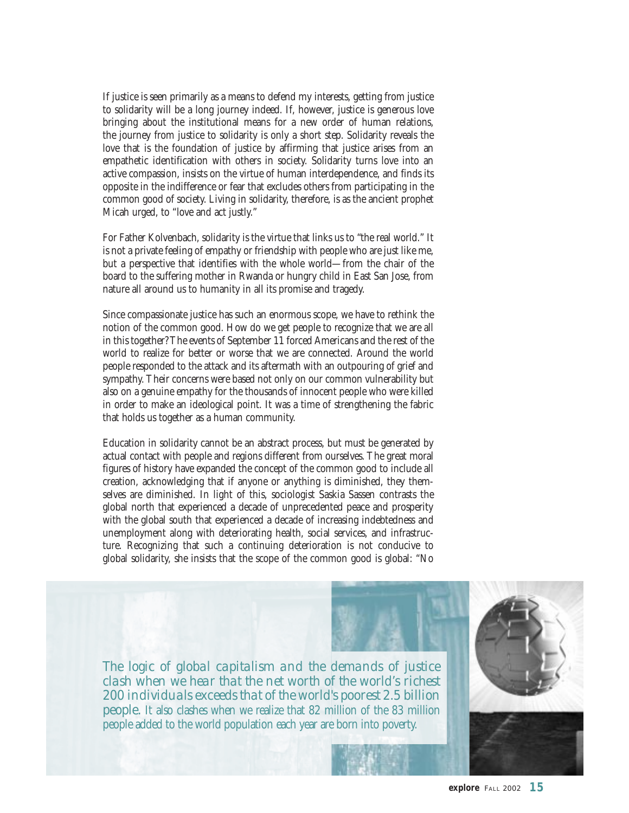If justice is seen primarily as a means to defend my interests, getting from justice to solidarity will be a long journey indeed. If, however, justice is generous love bringing about the institutional means for a new order of human relations, the journey from justice to solidarity is only a short step. Solidarity reveals the love that is the foundation of justice by affirming that justice arises from an empathetic identification with others in society. Solidarity turns love into an active compassion, insists on the virtue of human interdependence, and finds its opposite in the indifference or fear that excludes others from participating in the common good of society. Living in solidarity, therefore, is as the ancient prophet Micah urged, to "love and act justly."

For Father Kolvenbach, solidarity is the virtue that links us to "the real world." It is not a private feeling of empathy or friendship with people who are just like me, but a perspective that identifies with the whole world—from the chair of the board to the suffering mother in Rwanda or hungry child in East San Jose, from nature all around us to humanity in all its promise and tragedy.

Since compassionate justice has such an enormous scope, we have to rethink the notion of the common good. How do we get people to recognize that we are all in this together? The events of September 11 forced Americans and the rest of the world to realize for better or worse that we are connected. Around the world people responded to the attack and its aftermath with an outpouring of grief and sympathy. Their concerns were based not only on our common vulnerability but also on a genuine empathy for the thousands of innocent people who were killed in order to make an ideological point. It was a time of strengthening the fabric that holds us together as a human community.

Education in solidarity cannot be an abstract process, but must be generated by actual contact with people and regions different from ourselves. The great moral figures of history have expanded the concept of the common good to include all creation, acknowledging that if anyone or anything is diminished, they themselves are diminished. In light of this, sociologist Saskia Sassen contrasts the global north that experienced a decade of unprecedented peace and prosperity with the global south that experienced a decade of increasing indebtedness and unemployment along with deteriorating health, social services, and infrastructure. Recognizing that such a continuing deterioration is not conducive to global solidarity, she insists that the scope of the common good is global: "No

![](_page_14_Picture_4.jpeg)

*The logic of global capitalism and the demands of justice clash when we hear that the net worth of the world's richest 200 individuals exceeds that of the world's poorest 2.5 billion people.* It also clashes when we realize that 82 million of the 83 million people added to the world population each year are born into poverty.

![](_page_14_Picture_6.jpeg)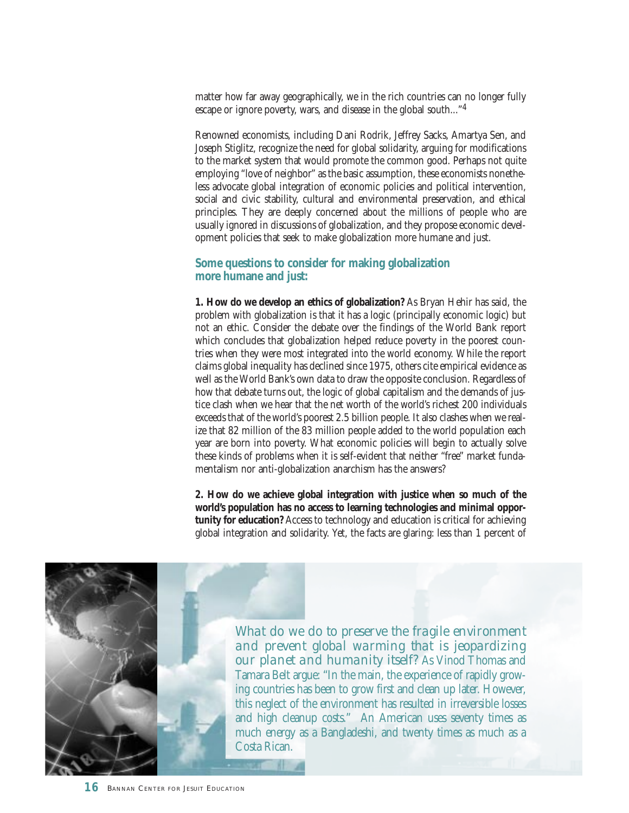matter how far away geographically, we in the rich countries can no longer fully escape or ignore poverty, wars, and disease in the global south..."4

Renowned economists, including Dani Rodrik, Jeffrey Sacks, Amartya Sen, and Joseph Stiglitz, recognize the need for global solidarity, arguing for modifications to the market system that would promote the common good. Perhaps not quite employing "love of neighbor" as the basic assumption, these economists nonetheless advocate global integration of economic policies and political intervention, social and civic stability, cultural and environmental preservation, and ethical principles. They are deeply concerned about the millions of people who are usually ignored in discussions of globalization, and they propose economic development policies that seek to make globalization more humane and just.

#### **Some questions to consider for making globalization more humane and just:**

**1. How do we develop an ethics of globalization?** As Bryan Hehir has said, the problem with globalization is that it has a logic (principally economic logic) but not an ethic. Consider the debate over the findings of the World Bank report which concludes that globalization helped reduce poverty in the poorest countries when they were most integrated into the world economy. While the report claims global inequality has declined since 1975, others cite empirical evidence as well as the World Bank's own data to draw the opposite conclusion. Regardless of how that debate turns out, the logic of global capitalism and the demands of justice clash when we hear that the net worth of the world's richest 200 individuals exceeds that of the world's poorest 2.5 billion people. It also clashes when we realize that 82 million of the 83 million people added to the world population each year are born into poverty. What economic policies will begin to actually solve these kinds of problems when it is self-evident that neither "free" market fundamentalism nor anti-globalization anarchism has the answers?

**2. How do we achieve global integration with justice when so much of the world's population has no access to learning technologies and minimal opportunity for education?** Access to technology and education is critical for achieving global integration and solidarity. Yet, the facts are glaring: less than 1 percent of

![](_page_15_Picture_5.jpeg)

*What do we do to preserve the fragile environment and prevent global warming that is jeopardizing our planet and humanity itself?* As Vinod Thomas and Tamara Belt argue: "In the main, the experience of rapidly growing countries has been to grow first and clean up later. However, this neglect of the environment has resulted in irreversible losses and high cleanup costs." An American uses seventy times as much energy as a Bangladeshi, and twenty times as much as a Costa Rican.

M.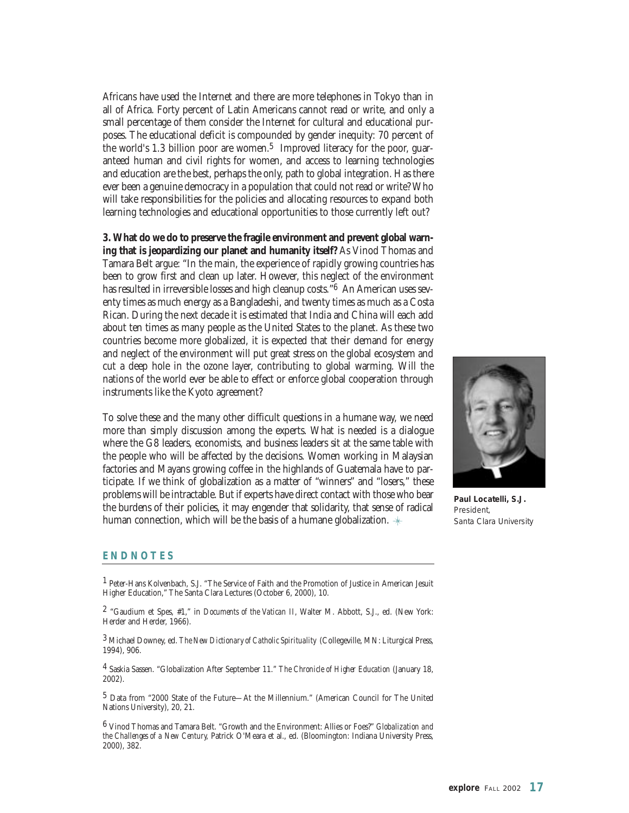Africans have used the Internet and there are more telephones in Tokyo than in all of Africa. Forty percent of Latin Americans cannot read or write, and only a small percentage of them consider the Internet for cultural and educational purposes. The educational deficit is compounded by gender inequity: 70 percent of the world's 1.3 billion poor are women.<sup>5</sup> Improved literacy for the poor, guaranteed human and civil rights for women, and access to learning technologies and education are the best, perhaps the only, path to global integration. Has there ever been a genuine democracy in a population that could not read or write? Who will take responsibilities for the policies and allocating resources to expand both learning technologies and educational opportunities to those currently left out?

**3. What do we do to preserve the fragile environment and prevent global warning that is jeopardizing our planet and humanity itself?** As Vinod Thomas and Tamara Belt argue: "In the main, the experience of rapidly growing countries has been to grow first and clean up later. However, this neglect of the environment has resulted in irreversible losses and high cleanup costs."<sup>6</sup> An American uses seventy times as much energy as a Bangladeshi, and twenty times as much as a Costa Rican. During the next decade it is estimated that India and China will each add about ten times as many people as the United States to the planet. As these two countries become more globalized, it is expected that their demand for energy and neglect of the environment will put great stress on the global ecosystem and cut a deep hole in the ozone layer, contributing to global warming. Will the nations of the world ever be able to effect or enforce global cooperation through instruments like the Kyoto agreement?

To solve these and the many other difficult questions in a humane way, we need more than simply discussion among the experts. What is needed is a dialogue where the G8 leaders, economists, and business leaders sit at the same table with the people who will be affected by the decisions. Women working in Malaysian factories and Mayans growing coffee in the highlands of Guatemala have to participate. If we think of globalization as a matter of "winners" and "losers," these problems will be intractable. But if experts have direct contact with those who bear the burdens of their policies, it may engender that solidarity, that sense of radical human connection, which will be the basis of a humane globalization.  $*$ 

![](_page_16_Picture_3.jpeg)

**Paul Locatelli, S.J.** *President, Santa Clara University*

#### **ENDNOTES**

1 Peter-Hans Kolvenbach, S.J. "The Service of Faith and the Promotion of Justice in American Jesuit Higher Education," The Santa Clara Lectures (October 6, 2000), 10.

2 "Gaudium et Spes, #1," in *Documents of the Vatican II,* Walter M. Abbott, S.J., ed. (New York: Herder and Herder, 1966).

3 Michael Downey, ed. *The New Dictionary of Catholic Spirituality* (Collegeville, MN: Liturgical Press, 1994), 906.

4 Saskia Sassen. "Globalization After September 11." *The Chronicle of Higher Education* (January 18, 2002).

5 Data from "2000 State of the Future—At the Millennium." (American Council for The United Nations University), 20, 21.

6 Vinod Thomas and Tamara Belt. "Growth and the Environment: Allies or Foes?" *Globalization and the Challenges of a New Century,* Patrick O'Meara et al., ed. (Bloomington: Indiana University Press, 2000), 382.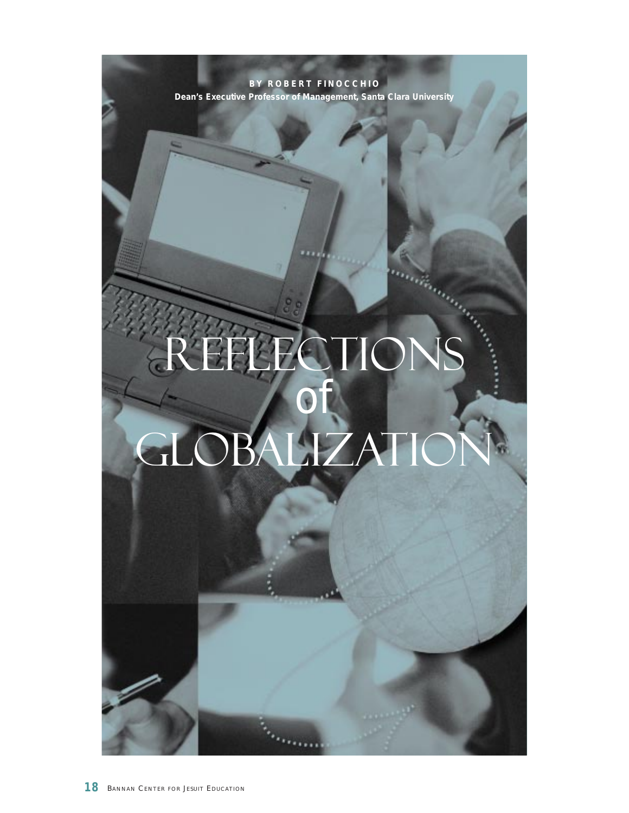**BY ROBERT FINOCCHIO Dean's Executive Professor of Management, Santa Clara University** Reflections *of* Globalization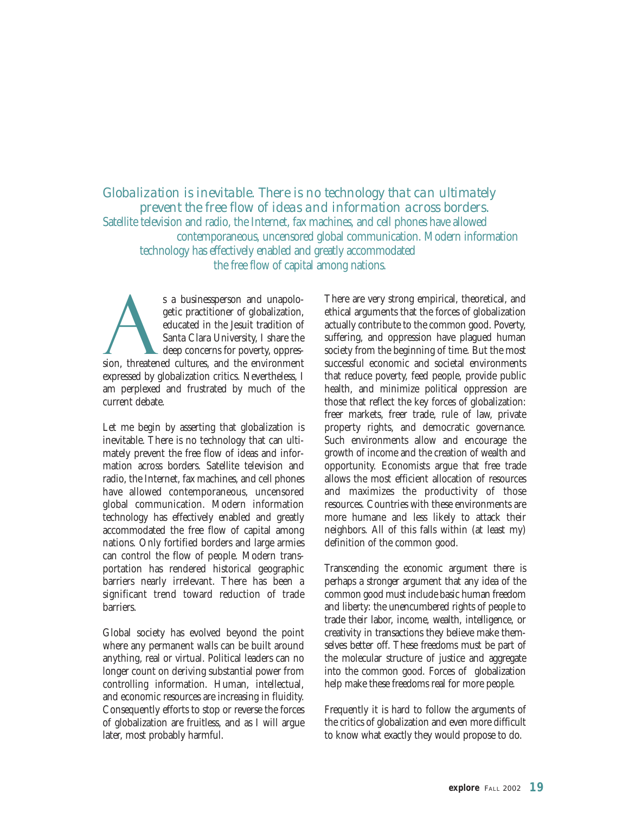*Globalization is inevitable. There is no technology that can ultimately prevent the free flow of ideas and information across borders.* Satellite television and radio, the Internet, fax machines, and cell phones have allowed contemporaneous, uncensored global communication. Modern information technology has effectively enabled and greatly accommodated the free flow of capital among nations.

s a businessperson and unapologetic practitioner of globalization, educated in the Jesuit tradition of Santa Clara University, I share the deep concerns for poverty, oppression, threatened cultures, and the environment expressed by globalization critics. Nevertheless, I am perplexed and frustrated by much of the current debate.

Let me begin by asserting that globalization is inevitable. There is no technology that can ultimately prevent the free flow of ideas and information across borders. Satellite television and radio, the Internet, fax machines, and cell phones have allowed contemporaneous, uncensored global communication. Modern information technology has effectively enabled and greatly accommodated the free flow of capital among nations. Only fortified borders and large armies can control the flow of people. Modern transportation has rendered historical geographic barriers nearly irrelevant. There has been a significant trend toward reduction of trade barriers.

Global society has evolved beyond the point where any permanent walls can be built around anything, real or virtual. Political leaders can no longer count on deriving substantial power from controlling information. Human, intellectual, and economic resources are increasing in fluidity. Consequently efforts to stop or reverse the forces of globalization are fruitless, and as I will argue later, most probably harmful.

There are very strong empirical, theoretical, and ethical arguments that the forces of globalization actually contribute to the common good. Poverty, suffering, and oppression have plagued human society from the beginning of time. But the most successful economic and societal environments that reduce poverty, feed people, provide public health, and minimize political oppression are those that reflect the key forces of globalization: freer markets, freer trade, rule of law, private property rights, and democratic governance. Such environments allow and encourage the growth of income and the creation of wealth and opportunity. Economists argue that free trade allows the most efficient allocation of resources and maximizes the productivity of those resources. Countries with these environments are more humane and less likely to attack their neighbors. All of this falls within (at least my) definition of the common good.

Transcending the economic argument there is perhaps a stronger argument that any idea of the common good must include basic human freedom and liberty: the unencumbered rights of people to trade their labor, income, wealth, intelligence, or creativity in transactions they believe make themselves better off. These freedoms must be part of the molecular structure of justice and aggregate into the common good. Forces of globalization help make these freedoms real for more people.

Frequently it is hard to follow the arguments of the critics of globalization and even more difficult to know what exactly they would propose to do.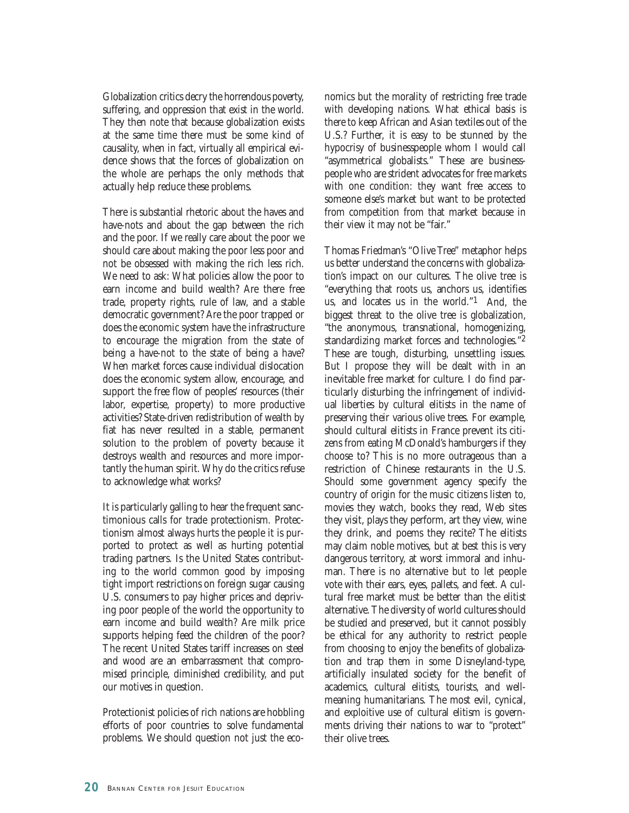Globalization critics decry the horrendous poverty, suffering, and oppression that exist in the world. They then note that because globalization exists at the same time there must be some kind of causality, when in fact, virtually all empirical evidence shows that the forces of globalization on the whole are perhaps the only methods that actually help reduce these problems.

There is substantial rhetoric about the haves and have-nots and about the gap between the rich and the poor. If we really care about the poor we should care about making the poor less poor and not be obsessed with making the rich less rich. We need to ask: What policies allow the poor to earn income and build wealth? Are there free trade, property rights, rule of law, and a stable democratic government? Are the poor trapped or does the economic system have the infrastructure to encourage the migration from the state of being a have-not to the state of being a have? When market forces cause individual dislocation does the economic system allow, encourage, and support the free flow of peoples' resources (their labor, expertise, property) to more productive activities? State-driven redistribution of wealth by fiat has never resulted in a stable, permanent solution to the problem of poverty because it destroys wealth and resources and more importantly the human spirit. Why do the critics refuse to acknowledge what works?

It is particularly galling to hear the frequent sanctimonious calls for trade protectionism. Protectionism almost always hurts the people it is purported to protect as well as hurting potential trading partners. Is the United States contributing to the world common good by imposing tight import restrictions on foreign sugar causing U.S. consumers to pay higher prices and depriving poor people of the world the opportunity to earn income and build wealth? Are milk price supports helping feed the children of the poor? The recent United States tariff increases on steel and wood are an embarrassment that compromised principle, diminished credibility, and put our motives in question.

Protectionist policies of rich nations are hobbling efforts of poor countries to solve fundamental problems. We should question not just the economics but the morality of restricting free trade with developing nations. What ethical basis is there to keep African and Asian textiles out of the U.S.? Further, it is easy to be stunned by the hypocrisy of businesspeople whom I would call "asymmetrical globalists." These are businesspeople who are strident advocates for free markets with one condition: they want free access to someone else's market but want to be protected from competition from that market because in their view it may not be "fair."

Thomas Friedman's "Olive Tree" metaphor helps us better understand the concerns with globalization's impact on our cultures. The olive tree is "everything that roots us, anchors us, identifies us, and locates us in the world."1 And, the biggest threat to the olive tree is globalization, "the anonymous, transnational, homogenizing, standardizing market forces and technologies."2 These are tough, disturbing, unsettling issues. But I propose they will be dealt with in an inevitable free market for culture. I do find particularly disturbing the infringement of individual liberties by cultural elitists in the name of preserving their various olive trees. For example, should cultural elitists in France prevent its citizens from eating McDonald's hamburgers if they choose to? This is no more outrageous than a restriction of Chinese restaurants in the U.S. Should some government agency specify the country of origin for the music citizens listen to, movies they watch, books they read, Web sites they visit, plays they perform, art they view, wine they drink, and poems they recite? The elitists may claim noble motives, but at best this is very dangerous territory, at worst immoral and inhuman. There is no alternative but to let people vote with their ears, eyes, pallets, and feet. A cultural free market must be better than the elitist alternative. The diversity of world cultures should be studied and preserved, but it cannot possibly be ethical for any authority to restrict people from choosing to enjoy the benefits of globalization and trap them in some Disneyland-type, artificially insulated society for the benefit of academics, cultural elitists, tourists, and wellmeaning humanitarians. The most evil, cynical, and exploitive use of cultural elitism is governments driving their nations to war to "protect" their olive trees.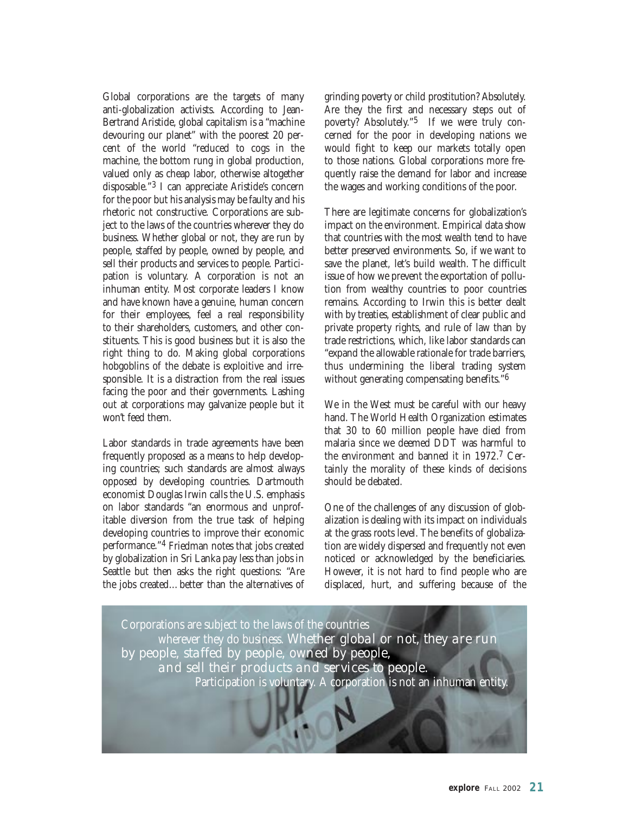Global corporations are the targets of many anti-globalization activists. According to Jean-Bertrand Aristide, global capitalism is a "machine devouring our planet" with the poorest 20 percent of the world "reduced to cogs in the machine, the bottom rung in global production, valued only as cheap labor, otherwise altogether disposable."3 I can appreciate Aristide's concern for the poor but his analysis may be faulty and his rhetoric not constructive. Corporations are subject to the laws of the countries wherever they do business. Whether global or not, they are run by people, staffed by people, owned by people, and sell their products and services to people. Participation is voluntary. A corporation is not an inhuman entity. Most corporate leaders I know and have known have a genuine, human concern for their employees, feel a real responsibility to their shareholders, customers, and other constituents. This is good business but it is also the right thing to do. Making global corporations hobgoblins of the debate is exploitive and irresponsible. It is a distraction from the real issues facing the poor and their governments. Lashing out at corporations may galvanize people but it won't feed them.

Labor standards in trade agreements have been frequently proposed as a means to help developing countries; such standards are almost always opposed by developing countries. Dartmouth economist Douglas Irwin calls the U.S. emphasis on labor standards "an enormous and unprofitable diversion from the true task of helping developing countries to improve their economic performance."4 Friedman notes that jobs created by globalization in Sri Lanka pay less than jobs in Seattle but then asks the right questions: "Are the jobs created…better than the alternatives of grinding poverty or child prostitution? Absolutely. Are they the first and necessary steps out of poverty? Absolutely."5 If we were truly concerned for the poor in developing nations we would fight to keep our markets totally open to those nations. Global corporations more frequently raise the demand for labor and increase the wages and working conditions of the poor.

There are legitimate concerns for globalization's impact on the environment. Empirical data show that countries with the most wealth tend to have better preserved environments. So, if we want to save the planet, let's build wealth. The difficult issue of how we prevent the exportation of pollution from wealthy countries to poor countries remains. According to Irwin this is better dealt with by treaties, establishment of clear public and private property rights, and rule of law than by trade restrictions, which, like labor standards can "expand the allowable rationale for trade barriers, thus undermining the liberal trading system without generating compensating benefits."<sup>6</sup>

We in the West must be careful with our heavy hand. The World Health Organization estimates that 30 to 60 million people have died from malaria since we deemed DDT was harmful to the environment and banned it in 1972.7 Certainly the morality of these kinds of decisions should be debated.

One of the challenges of any discussion of globalization is dealing with its impact on individuals at the grass roots level. The benefits of globalization are widely dispersed and frequently not even noticed or acknowledged by the beneficiaries. However, it is not hard to find people who are displaced, hurt, and suffering because of the

Corporations are subject to the laws of the countries wherever they do business. *Whether global or not, they are run by people, staffed by people, owned by people, and sell their products and services to people.* Participation is voluntary. A corporation is not an inhuman entity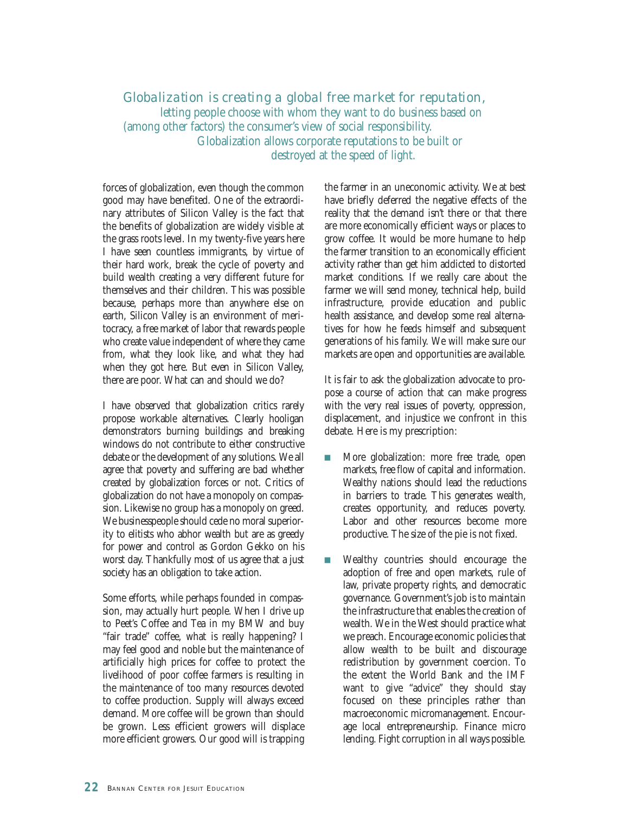#### *Globalization is creating a global free market for reputation,*  letting people choose with whom they want to do business based on (among other factors) the consumer's view of social responsibility. Globalization allows corporate reputations to be built or destroyed at the speed of light.

forces of globalization, even though the common good may have benefited. One of the extraordinary attributes of Silicon Valley is the fact that the benefits of globalization are widely visible at the grass roots level. In my twenty-five years here I have seen countless immigrants, by virtue of their hard work, break the cycle of poverty and build wealth creating a very different future for themselves and their children. This was possible because, perhaps more than anywhere else on earth, Silicon Valley is an environment of meritocracy, a free market of labor that rewards people who create value independent of where they came from, what they look like, and what they had when they got here. But even in Silicon Valley, there are poor. What can and should we do?

I have observed that globalization critics rarely propose workable alternatives. Clearly hooligan demonstrators burning buildings and breaking windows do not contribute to either constructive debate or the development of any solutions. We all agree that poverty and suffering are bad whether created by globalization forces or not. Critics of globalization do not have a monopoly on compassion. Likewise no group has a monopoly on greed. We businesspeople should cede no moral superiority to elitists who abhor wealth but are as greedy for power and control as Gordon Gekko on his worst day. Thankfully most of us agree that a just society has an obligation to take action.

Some efforts, while perhaps founded in compassion, may actually hurt people. When I drive up to Peet's Coffee and Tea in my BMW and buy "fair trade" coffee, what is really happening? I may feel good and noble but the maintenance of artificially high prices for coffee to protect the livelihood of poor coffee farmers is resulting in the maintenance of too many resources devoted to coffee production. Supply will always exceed demand. More coffee will be grown than should be grown. Less efficient growers will displace more efficient growers. Our good will is trapping

the farmer in an uneconomic activity. We at best have briefly deferred the negative effects of the reality that the demand isn't there or that there are more economically efficient ways or places to grow coffee. It would be more humane to help the farmer transition to an economically efficient activity rather than get him addicted to distorted market conditions. If we really care about the farmer we will send money, technical help, build infrastructure, provide education and public health assistance, and develop some real alternatives for how he feeds himself and subsequent generations of his family. We will make sure our markets are open and opportunities are available.

It is fair to ask the globalization advocate to propose a course of action that can make progress with the very real issues of poverty, oppression, displacement, and injustice we confront in this debate. Here is my prescription:

- **n** More globalization: more free trade, open markets, free flow of capital and information. Wealthy nations should lead the reductions in barriers to trade. This generates wealth, creates opportunity, and reduces poverty. Labor and other resources become more productive. The size of the pie is not fixed.
- **n** Wealthy countries should encourage the adoption of free and open markets, rule of law, private property rights, and democratic governance. Government's job is to maintain the infrastructure that enables the creation of wealth. We in the West should practice what we preach. Encourage economic policies that allow wealth to be built and discourage redistribution by government coercion. To the extent the World Bank and the IMF want to give "advice" they should stay focused on these principles rather than macroeconomic micromanagement. Encourage local entrepreneurship. Finance micro lending. Fight corruption in all ways possible.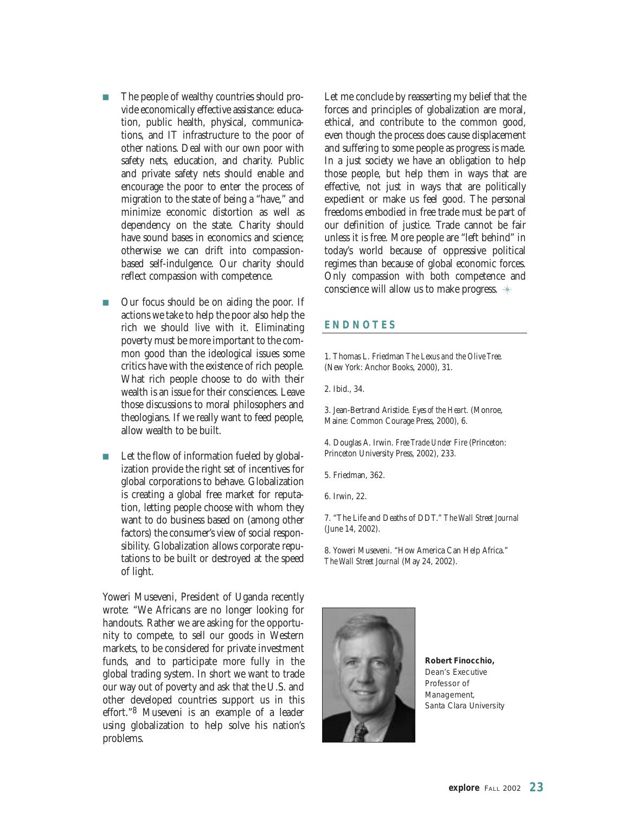- The people of wealthy countries should provide economically effective assistance: education, public health, physical, communications, and IT infrastructure to the poor of other nations. Deal with our own poor with safety nets, education, and charity. Public and private safety nets should enable and encourage the poor to enter the process of migration to the state of being a "have," and minimize economic distortion as well as dependency on the state. Charity should have sound bases in economics and science; otherwise we can drift into compassionbased self-indulgence. Our charity should reflect compassion with competence.
- Our focus should be on aiding the poor. If actions we take to help the poor also help the rich we should live with it. Eliminating poverty must be more important to the common good than the ideological issues some critics have with the existence of rich people. What rich people choose to do with their wealth is an issue for their consciences. Leave those discussions to moral philosophers and theologians. If we really want to feed people, allow wealth to be built.
- Let the flow of information fueled by globalization provide the right set of incentives for global corporations to behave. Globalization is creating a global free market for reputation, letting people choose with whom they want to do business based on (among other factors) the consumer's view of social responsibility. Globalization allows corporate reputations to be built or destroyed at the speed of light.

Yoweri Museveni, President of Uganda recently wrote: "We Africans are no longer looking for handouts. Rather we are asking for the opportunity to compete, to sell our goods in Western markets, to be considered for private investment funds, and to participate more fully in the global trading system. In short we want to trade our way out of poverty and ask that the U.S. and other developed countries support us in this effort."8 Museveni is an example of a leader using globalization to help solve his nation's problems.

Let me conclude by reasserting my belief that the forces and principles of globalization are moral, ethical, and contribute to the common good, even though the process does cause displacement and suffering to some people as progress is made. In a just society we have an obligation to help those people, but help them in ways that are effective, not just in ways that are politically expedient or make us feel good. The personal freedoms embodied in free trade must be part of our definition of justice. Trade cannot be fair unless it is free. More people are "left behind" in today's world because of oppressive political regimes than because of global economic forces. Only compassion with both competence and conscience will allow us to make progress.

#### **ENDNOTES**

1. Thomas L. Friedman *The Lexus and the Olive Tree.* (New York: Anchor Books, 2000), 31.

2. Ibid., 34.

3. Jean-Bertrand Aristide. *Eyes of the Heart.* (Monroe, Maine: Common Courage Press, 2000), 6.

4. Douglas A. Irwin. *Free Trade Under Fire* (Princeton: Princeton University Press, 2002), 233.

5. Friedman, 362.

6. Irwin, 22.

7. "The Life and Deaths of DDT." *The Wall Street Journal* (June 14, 2002).

8. Yoweri Museveni. "How America Can Help Africa." *The Wall Street Journal* (May 24, 2002).

![](_page_22_Picture_14.jpeg)

**Robert Finocchio,**  *Dean's Executive Professor of Management, Santa Clara University*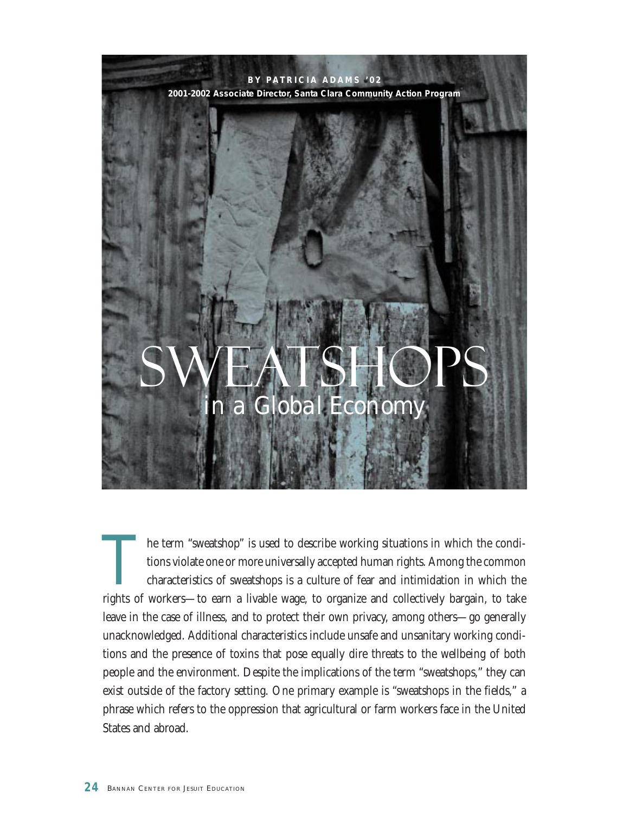![](_page_23_Picture_0.jpeg)

The term "sweatshop" is used to describe working situations in which the conditions violate one or more universally accepted human rights. Among the common characteristics of sweatshops is a culture of fear and intimidation in which the rights of workers—to earn a livable wage, to organize and collectively bargain, to take leave in the case of illness, and to protect their own privacy, among others—go generally unacknowledged. Additional characteristics include unsafe and unsanitary working conditions and the presence of toxins that pose equally dire threats to the wellbeing of both people and the environment. Despite the implications of the term "sweatshops," they can exist outside of the factory setting. One primary example is "sweatshops in the fields," a phrase which refers to the oppression that agricultural or farm workers face in the United States and abroad.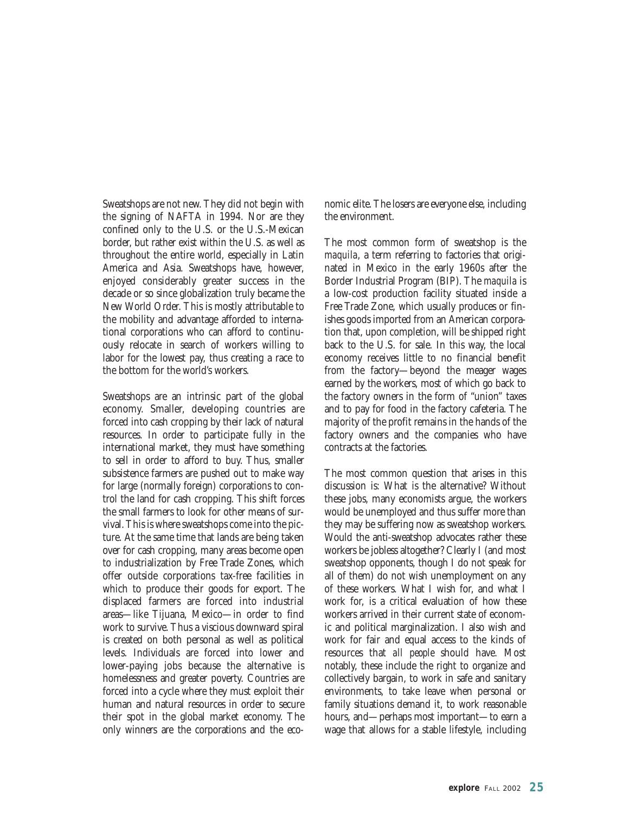Sweatshops are not new. They did not begin with the signing of NAFTA in 1994. Nor are they confined only to the U.S. or the U.S.-Mexican border, but rather exist within the U.S. as well as throughout the entire world, especially in Latin America and Asia. Sweatshops have, however, enjoyed considerably greater success in the decade or so since globalization truly became the New World Order. This is mostly attributable to the mobility and advantage afforded to international corporations who can afford to continuously relocate in search of workers willing to labor for the lowest pay, thus creating a race to the bottom for the world's workers.

Sweatshops are an intrinsic part of the global economy. Smaller, developing countries are forced into cash cropping by their lack of natural resources. In order to participate fully in the international market, they must have something to sell in order to afford to buy. Thus, smaller subsistence farmers are pushed out to make way for large (normally foreign) corporations to control the land for cash cropping. This shift forces the small farmers to look for other means of survival. This is where sweatshops come into the picture. At the same time that lands are being taken over for cash cropping, many areas become open to industrialization by Free Trade Zones, which offer outside corporations tax-free facilities in which to produce their goods for export. The displaced farmers are forced into industrial areas—like Tijuana, Mexico—in order to find work to survive. Thus a viscious downward spiral is created on both personal as well as political levels. Individuals are forced into lower and lower-paying jobs because the alternative is homelessness and greater poverty. Countries are forced into a cycle where they must exploit their human and natural resources in order to secure their spot in the global market economy. The only winners are the corporations and the economic elite. The losers are everyone else, including the environment.

The most common form of sweatshop is the *maquila*, a term referring to factories that originated in Mexico in the early 1960s after the Border Industrial Program (BIP). The *maquila* is a low-cost production facility situated inside a Free Trade Zone, which usually produces or finishes goods imported from an American corporation that, upon completion, will be shipped right back to the U.S. for sale. In this way, the local economy receives little to no financial benefit from the factory—beyond the meager wages earned by the workers, most of which go back to the factory owners in the form of "union" taxes and to pay for food in the factory cafeteria. The majority of the profit remains in the hands of the factory owners and the companies who have contracts at the factories.

The most common question that arises in this discussion is: What is the alternative? Without these jobs, many economists argue, the workers would be unemployed and thus suffer more than they may be suffering now as sweatshop workers. Would the anti-sweatshop advocates rather these workers be jobless altogether? Clearly I (and most sweatshop opponents, though I do not speak for all of them) do not wish unemployment on any of these workers. What I wish for, and what I work for, is a critical evaluation of how these workers arrived in their current state of economic and political marginalization. I also wish and work for fair and equal access to the kinds of resources that *all people* should have. Most notably, these include the right to organize and collectively bargain, to work in safe and sanitary environments, to take leave when personal or family situations demand it, to work reasonable hours, and—perhaps most important—to earn a wage that allows for a stable lifestyle, including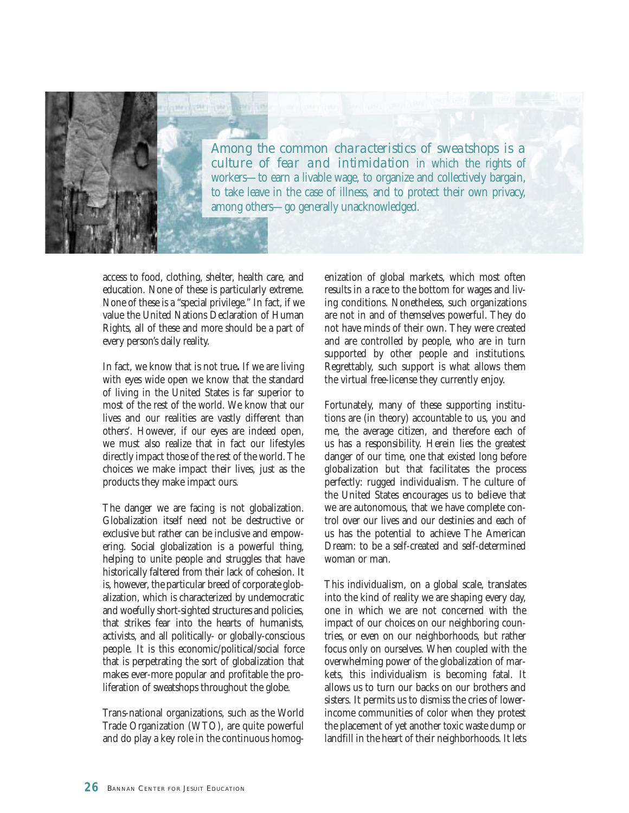![](_page_25_Picture_0.jpeg)

*Among the common characteristics of sweatshops is a culture of fear and intimidation* in which the rights of workers—to earn a livable wage, to organize and collectively bargain, to take leave in the case of illness, and to protect their own privacy, among others—go generally unacknowledged.

access to food, clothing, shelter, health care, and education. None of these is particularly extreme. None of these is a "special privilege." In fact, if we value the United Nations Declaration of Human Rights, all of these and more should be a part of every person's daily reality.

In fact, we know that is not true**.** If we are living with eyes wide open we know that the standard of living in the United States is far superior to most of the rest of the world. We know that our lives and our realities are vastly different than others'. However, if our eyes are indeed open, we must also realize that in fact our lifestyles directly impact those of the rest of the world. The choices we make impact their lives, just as the products they make impact ours.

The danger we are facing is not globalization. Globalization itself need not be destructive or exclusive but rather can be inclusive and empowering. Social globalization is a powerful thing, helping to unite people and struggles that have historically faltered from their lack of cohesion. It is, however, the particular breed of corporate globalization, which is characterized by undemocratic and woefully short-sighted structures and policies, that strikes fear into the hearts of humanists, activists, and all politically- or globally-conscious people. It is this economic/political/social force that is perpetrating the sort of globalization that makes ever-more popular and profitable the proliferation of sweatshops throughout the globe.

Trans-national organizations, such as the World Trade Organization (WTO), are quite powerful and do play a key role in the continuous homogenization of global markets, which most often results in a race to the bottom for wages and living conditions. Nonetheless, such organizations are not in and of themselves powerful. They do not have minds of their own. They were created and are controlled by people, who are in turn supported by other people and institutions. Regrettably, such support is what allows them the virtual free-license they currently enjoy.

Fortunately, many of these supporting institutions are (in theory) accountable to us, you and me, the average citizen, and therefore each of us has a responsibility. Herein lies the greatest danger of our time, one that existed long before globalization but that facilitates the process perfectly: rugged individualism. The culture of the United States encourages us to believe that we are autonomous, that we have complete control over our lives and our destinies and each of us has the potential to achieve The American Dream: to be a self-created and self-determined woman or man.

This individualism, on a global scale, translates into the kind of reality we are shaping every day, one in which we are not concerned with the impact of our choices on our neighboring countries, or even on our neighborhoods, but rather focus only on ourselves. When coupled with the overwhelming power of the globalization of markets, this individualism is becoming fatal. It allows us to turn our backs on our brothers and sisters. It permits us to dismiss the cries of lowerincome communities of color when they protest the placement of yet another toxic waste dump or landfill in the heart of their neighborhoods. It lets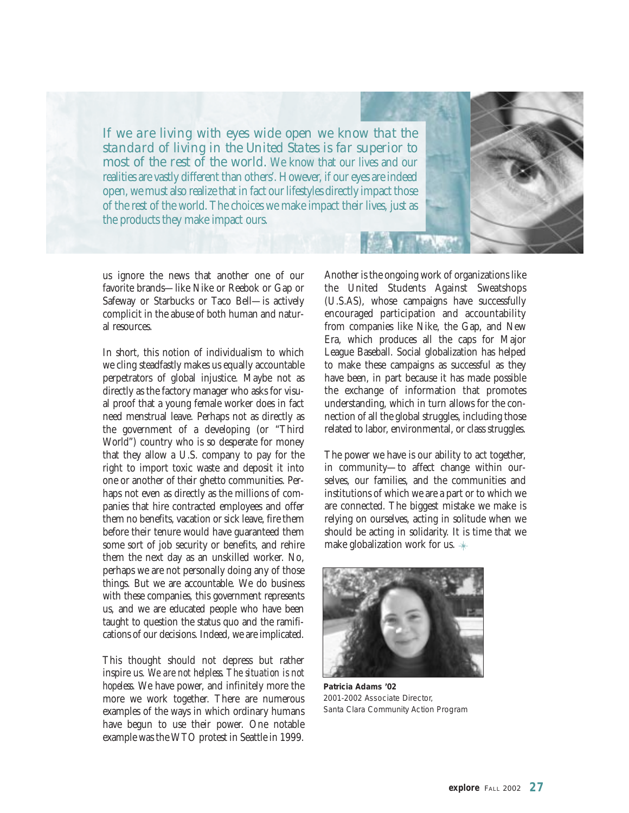*If we are living with eyes wide open we know that the standard of living in the United States is far superior to most of the rest of the world.* We know that our lives and our realities are vastly different than others'. However, if our eyes are indeed open, we must also realize that in fact our lifestyles directly impact those of the rest of the world. The choices we make impact their lives, just as the products they make impact ours.

us ignore the news that another one of our favorite brands—like Nike or Reebok or Gap or Safeway or Starbucks or Taco Bell—is actively complicit in the abuse of both human and natural resources.

In short, this notion of individualism to which we cling steadfastly makes us equally accountable perpetrators of global injustice. Maybe not as directly as the factory manager who asks for visual proof that a young female worker does in fact need menstrual leave. Perhaps not as directly as the government of a developing (or "Third World") country who is so desperate for money that they allow a U.S. company to pay for the right to import toxic waste and deposit it into one or another of their ghetto communities. Perhaps not even as directly as the millions of companies that hire contracted employees and offer them no benefits, vacation or sick leave, fire them before their tenure would have guaranteed them some sort of job security or benefits, and rehire them the next day as an unskilled worker. No, perhaps we are not personally doing any of those things. But we are accountable. We do business with these companies, this government represents us, and we are educated people who have been taught to question the status quo and the ramifications of our decisions. Indeed, we are implicated.

This thought should not depress but rather inspire us. *We are not helpless. The situation is not hopeless*. We have power, and infinitely more the more we work together. There are numerous examples of the ways in which ordinary humans have begun to use their power. One notable example was the WTO protest in Seattle in 1999.

Another is the ongoing work of organizations like the United Students Against Sweatshops (U.S.AS), whose campaigns have successfully encouraged participation and accountability from companies like Nike, the Gap, and New Era, which produces all the caps for Major League Baseball. Social globalization has helped to make these campaigns as successful as they have been, in part because it has made possible the exchange of information that promotes understanding, which in turn allows for the connection of all the global struggles, including those related to labor, environmental, or class struggles.

The power we have is our ability to act together, in community—to affect change within ourselves, our families, and the communities and institutions of which we are a part or to which we are connected. The biggest mistake we make is relying on ourselves, acting in solitude when we should be acting in solidarity. It is time that we make globalization work for us.

![](_page_26_Picture_6.jpeg)

**Patricia Adams '02** *2001-2002 Associate Director, Santa Clara Community Action Program*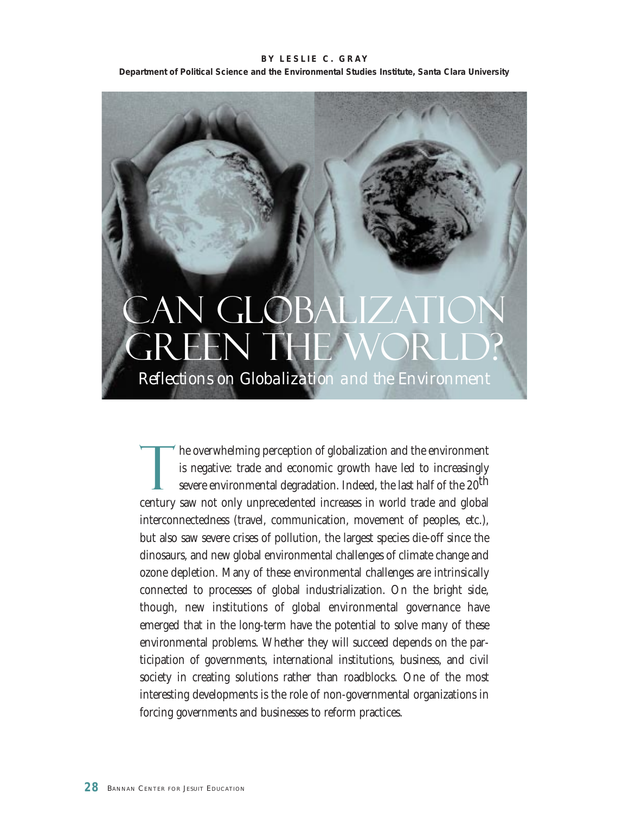**BY LESLIE C. GRAY Department of Political Science and the Environmental Studies Institute, Santa Clara University**

# Can Globalization **GREEN THE WORLD?** *Reflections on Globalization and the Environment*

The overwhelming perception of globalization and the environment<br>is negative: trade and economic growth have led to increasingly<br>severe environmental degradation. Indeed, the last half of the 20<sup>th</sup> is negative: trade and economic growth have led to increasingly severe environmental degradation. Indeed, the last half of the 20<sup>th</sup> century saw not only unprecedented increases in world trade and global interconnectedness (travel, communication, movement of peoples, etc.), but also saw severe crises of pollution, the largest species die-off since the dinosaurs, and new global environmental challenges of climate change and ozone depletion. Many of these environmental challenges are intrinsically connected to processes of global industrialization. On the bright side, though, new institutions of global environmental governance have emerged that in the long-term have the potential to solve many of these environmental problems. Whether they will succeed depends on the participation of governments, international institutions, business, and civil society in creating solutions rather than roadblocks. One of the most interesting developments is the role of non-governmental organizations in forcing governments and businesses to reform practices.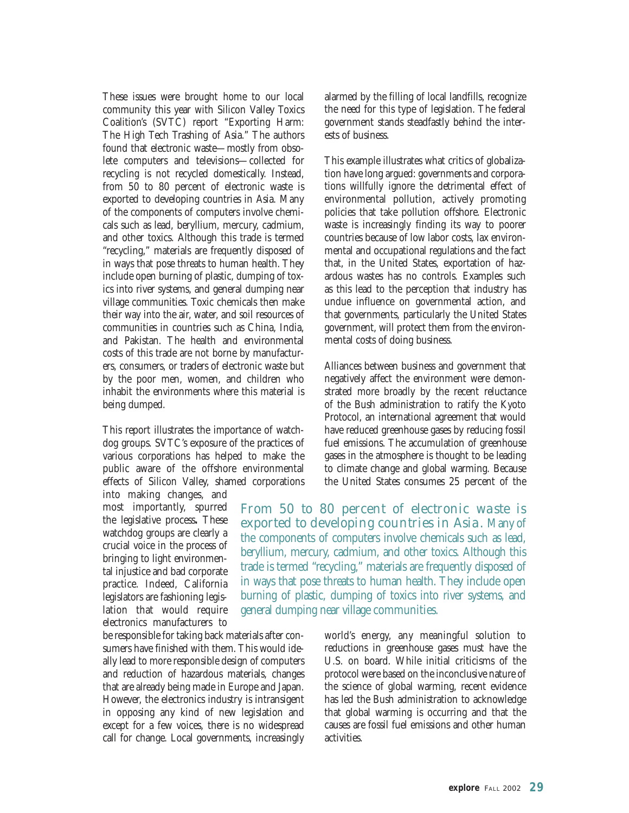These issues were brought home to our local community this year with Silicon Valley Toxics Coalition's (SVTC) report "Exporting Harm: The High Tech Trashing of Asia." The authors found that electronic waste—mostly from obsolete computers and televisions—collected for recycling is not recycled domestically. Instead, from 50 to 80 percent of electronic waste is exported to developing countries in Asia. Many of the components of computers involve chemicals such as lead, beryllium, mercury, cadmium, and other toxics. Although this trade is termed "recycling," materials are frequently disposed of in ways that pose threats to human health. They include open burning of plastic, dumping of toxics into river systems, and general dumping near village communities. Toxic chemicals then make their way into the air, water, and soil resources of communities in countries such as China, India, and Pakistan. The health and environmental costs of this trade are not borne by manufacturers, consumers, or traders of electronic waste but by the poor men, women, and children who inhabit the environments where this material is being dumped.

This report illustrates the importance of watchdog groups. SVTC's exposure of the practices of various corporations has helped to make the public aware of the offshore environmental effects of Silicon Valley, shamed corporations

into making changes, and most importantly, spurred the legislative process**.** These watchdog groups are clearly a crucial voice in the process of bringing to light environmental injustice and bad corporate practice. Indeed, California legislators are fashioning legislation that would require electronics manufacturers to

be responsible for taking back materials after consumers have finished with them. This would ideally lead to more responsible design of computers and reduction of hazardous materials, changes that are already being made in Europe and Japan. However, the electronics industry is intransigent in opposing any kind of new legislation and except for a few voices, there is no widespread call for change. Local governments, increasingly alarmed by the filling of local landfills, recognize the need for this type of legislation. The federal government stands steadfastly behind the interests of business.

This example illustrates what critics of globalization have long argued: governments and corporations willfully ignore the detrimental effect of environmental pollution, actively promoting policies that take pollution offshore. Electronic waste is increasingly finding its way to poorer countries because of low labor costs, lax environmental and occupational regulations and the fact that, in the United States, exportation of hazardous wastes has no controls. Examples such as this lead to the perception that industry has undue influence on governmental action, and that governments, particularly the United States government, will protect them from the environmental costs of doing business.

Alliances between business and government that negatively affect the environment were demonstrated more broadly by the recent reluctance of the Bush administration to ratify the Kyoto Protocol, an international agreement that would have reduced greenhouse gases by reducing fossil fuel emissions. The accumulation of greenhouse gases in the atmosphere is thought to be leading to climate change and global warming. Because the United States consumes 25 percent of the

*From 50 to 80 percent of electronic waste is exported to developing countries in Asia.* Many of the components of computers involve chemicals such as lead, beryllium, mercury, cadmium, and other toxics. Although this trade is termed "recycling," materials are frequently disposed of in ways that pose threats to human health. They include open burning of plastic, dumping of toxics into river systems, and general dumping near village communities.

> world's energy, any meaningful solution to reductions in greenhouse gases must have the U.S. on board. While initial criticisms of the protocol were based on the inconclusive nature of the science of global warming, recent evidence has led the Bush administration to acknowledge that global warming is occurring and that the causes are fossil fuel emissions and other human activities.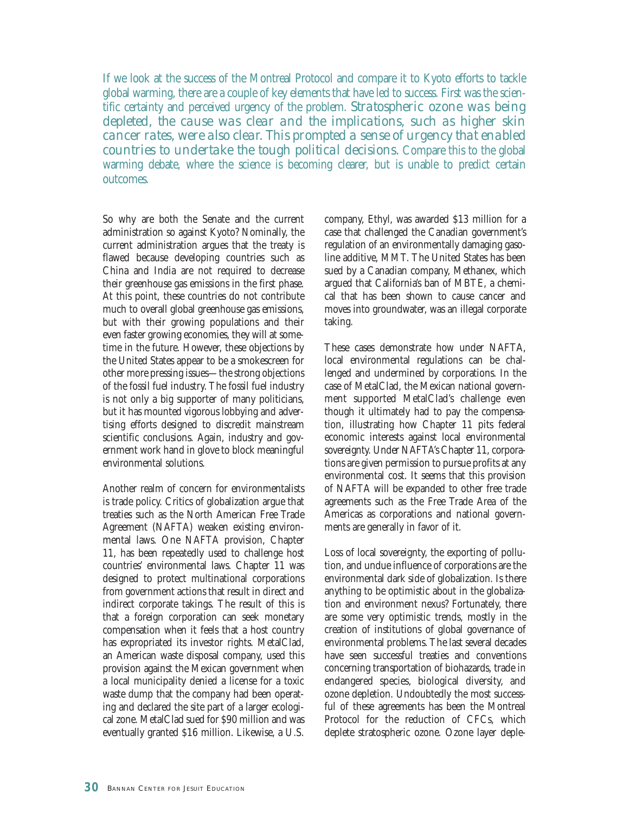If we look at the success of the Montreal Protocol and compare it to Kyoto efforts to tackle global warming, there are a couple of key elements that have led to success. First was the scientific certainty and perceived urgency of the problem. *Stratospheric ozone was being depleted, the cause was clear and the implications, such as higher skin cancer rates, were also clear. This prompted a sense of urgency that enabled countries to undertake the tough political decisions.* Compare this to the global warming debate, where the science is becoming clearer, but is unable to predict certain outcomes.

So why are both the Senate and the current administration so against Kyoto? Nominally, the current administration argues that the treaty is flawed because developing countries such as China and India are not required to decrease their greenhouse gas emissions in the first phase. At this point, these countries do not contribute much to overall global greenhouse gas emissions, but with their growing populations and their even faster growing economies, they will at sometime in the future. However, these objections by the United States appear to be a smokescreen for other more pressing issues—the strong objections of the fossil fuel industry. The fossil fuel industry is not only a big supporter of many politicians, but it has mounted vigorous lobbying and advertising efforts designed to discredit mainstream scientific conclusions. Again, industry and government work hand in glove to block meaningful environmental solutions.

Another realm of concern for environmentalists is trade policy. Critics of globalization argue that treaties such as the North American Free Trade Agreement (NAFTA) weaken existing environmental laws. One NAFTA provision, Chapter 11, has been repeatedly used to challenge host countries' environmental laws. Chapter 11 was designed to protect multinational corporations from government actions that result in direct and indirect corporate takings. The result of this is that a foreign corporation can seek monetary compensation when it feels that a host country has expropriated its investor rights. MetalClad, an American waste disposal company, used this provision against the Mexican government when a local municipality denied a license for a toxic waste dump that the company had been operating and declared the site part of a larger ecological zone. MetalClad sued for \$90 million and was eventually granted \$16 million. Likewise, a U.S.

company, Ethyl, was awarded \$13 million for a case that challenged the Canadian government's regulation of an environmentally damaging gasoline additive, MMT. The United States has been sued by a Canadian company, Methanex, which argued that California's ban of MBTE, a chemical that has been shown to cause cancer and moves into groundwater, was an illegal corporate taking.

These cases demonstrate how under NAFTA, local environmental regulations can be challenged and undermined by corporations. In the case of MetalClad, the Mexican national government supported MetalClad's challenge even though it ultimately had to pay the compensation, illustrating how Chapter 11 pits federal economic interests against local environmental sovereignty. Under NAFTA's Chapter 11, corporations are given permission to pursue profits at any environmental cost. It seems that this provision of NAFTA will be expanded to other free trade agreements such as the Free Trade Area of the Americas as corporations and national governments are generally in favor of it.

Loss of local sovereignty, the exporting of pollution, and undue influence of corporations are the environmental dark side of globalization. Is there anything to be optimistic about in the globalization and environment nexus? Fortunately, there are some very optimistic trends, mostly in the creation of institutions of global governance of environmental problems. The last several decades have seen successful treaties and conventions concerning transportation of biohazards, trade in endangered species, biological diversity, and ozone depletion. Undoubtedly the most successful of these agreements has been the Montreal Protocol for the reduction of CFCs, which deplete stratospheric ozone. Ozone layer deple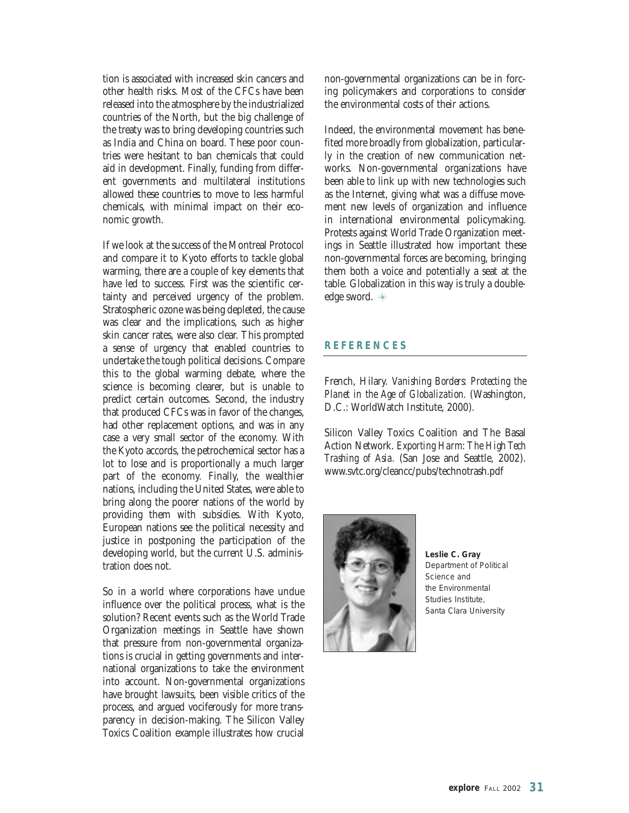tion is associated with increased skin cancers and other health risks. Most of the CFCs have been released into the atmosphere by the industrialized countries of the North, but the big challenge of the treaty was to bring developing countries such as India and China on board. These poor countries were hesitant to ban chemicals that could aid in development. Finally, funding from different governments and multilateral institutions allowed these countries to move to less harmful chemicals, with minimal impact on their economic growth.

If we look at the success of the Montreal Protocol and compare it to Kyoto efforts to tackle global warming, there are a couple of key elements that have led to success. First was the scientific certainty and perceived urgency of the problem. Stratospheric ozone was being depleted, the cause was clear and the implications, such as higher skin cancer rates, were also clear. This prompted a sense of urgency that enabled countries to undertake the tough political decisions. Compare this to the global warming debate, where the science is becoming clearer, but is unable to predict certain outcomes. Second, the industry that produced CFCs was in favor of the changes, had other replacement options, and was in any case a very small sector of the economy. With the Kyoto accords, the petrochemical sector has a lot to lose and is proportionally a much larger part of the economy. Finally, the wealthier nations, including the United States, were able to bring along the poorer nations of the world by providing them with subsidies. With Kyoto, European nations see the political necessity and justice in postponing the participation of the developing world, but the current U.S. administration does not.

So in a world where corporations have undue influence over the political process, what is the solution? Recent events such as the World Trade Organization meetings in Seattle have shown that pressure from non-governmental organizations is crucial in getting governments and international organizations to take the environment into account. Non-governmental organizations have brought lawsuits, been visible critics of the process, and argued vociferously for more transparency in decision-making. The Silicon Valley Toxics Coalition example illustrates how crucial non-governmental organizations can be in forcing policymakers and corporations to consider the environmental costs of their actions.

Indeed, the environmental movement has benefited more broadly from globalization, particularly in the creation of new communication networks. Non-governmental organizations have been able to link up with new technologies such as the Internet, giving what was a diffuse movement new levels of organization and influence in international environmental policymaking. Protests against World Trade Organization meetings in Seattle illustrated how important these non-governmental forces are becoming, bringing them both a voice and potentially a seat at the table. Globalization in this way is truly a doubleedge sword.

#### **REFERENCES**

French, Hilary. *Vanishing Borders: Protecting the Planet in the Age of Globalization.* (Washington, D.C.: WorldWatch Institute, 2000).

Silicon Valley Toxics Coalition and The Basal Action Network. *Exporting Harm: The High Tech Trashing of Asia.* (San Jose and Seattle, 2002). www.svtc.org/cleancc/pubs/technotrash.pdf

![](_page_30_Picture_8.jpeg)

**Leslie C. Gray** *Department of Political Science and the Environmental Studies Institute, Santa Clara University*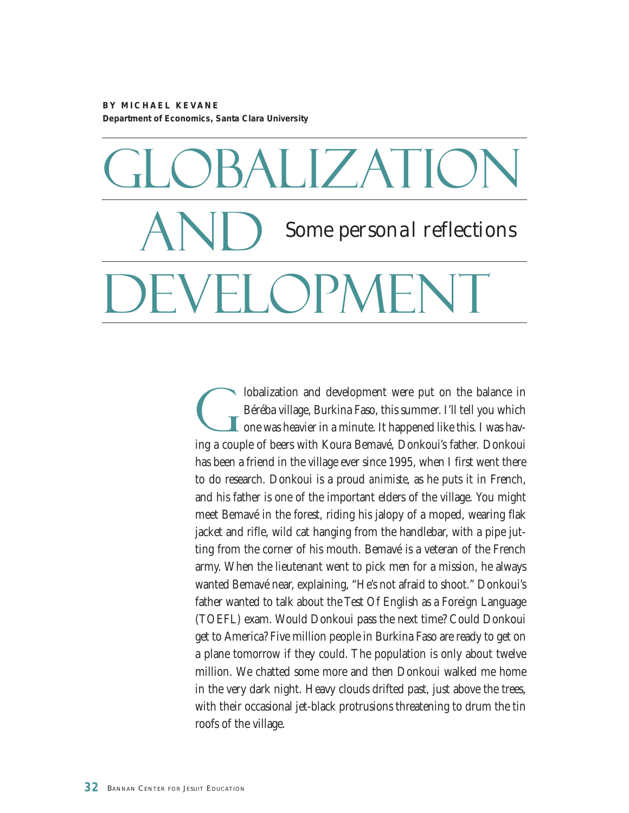**BY MICHAEL KEVANE Department of Economics, Santa Clara University**

# Globalization **AND DEVELOPMENT** *Some personal reflections*

Iobalization and development were put on the balance in<br>Béréba village, Burkina Faso, this summer. I'll tell you which<br>one was heavier in a minute. It happened like this. I was hav-Béréba village, Burkina Faso, this summer. I'll tell you which **L** one was heavier in a minute. It happened like this. I was having a couple of beers with Koura Bemavé, Donkoui's father. Donkoui has been a friend in the village ever since 1995, when I first went there to do research. Donkoui is a proud *animiste*, as he puts it in French, and his father is one of the important elders of the village. You might meet Bemavé in the forest, riding his jalopy of a moped, wearing flak jacket and rifle, wild cat hanging from the handlebar, with a pipe jutting from the corner of his mouth. Bemavé is a veteran of the French army. When the lieutenant went to pick men for a mission, he always wanted Bemavé near, explaining, "He's not afraid to shoot." Donkoui's father wanted to talk about the Test Of English as a Foreign Language (TOEFL) exam. Would Donkoui pass the next time? Could Donkoui get to America? Five million people in Burkina Faso are ready to get on a plane tomorrow if they could. The population is only about twelve million. We chatted some more and then Donkoui walked me home in the very dark night. Heavy clouds drifted past, just above the trees, with their occasional jet-black protrusions threatening to drum the tin roofs of the village.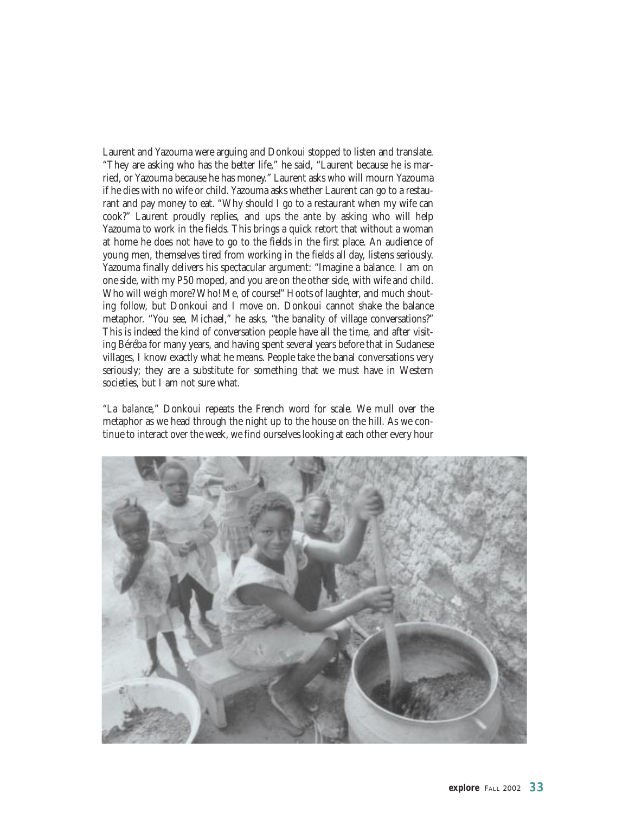Laurent and Yazouma were arguing and Donkoui stopped to listen and translate. "They are asking who has the better life," he said, "Laurent because he is married, or Yazouma because he has money." Laurent asks who will mourn Yazouma if he dies with no wife or child. Yazouma asks whether Laurent can go to a restaurant and pay money to eat. "Why should I go to a restaurant when my wife can cook?" Laurent proudly replies, and ups the ante by asking who will help Yazouma to work in the fields. This brings a quick retort that without a woman at home he does not have to go to the fields in the first place. An audience of young men, themselves tired from working in the fields all day, listens seriously. Yazouma finally delivers his spectacular argument: "Imagine a balance. I am on one side, with my P50 moped, and you are on the other side, with wife and child. Who will weigh more? Who! Me, of course!" Hoots of laughter, and much shouting follow, but Donkoui and I move on. Donkoui cannot shake the balance metaphor. "You see, Michael," he asks, "the banality of village conversations?" This is indeed the kind of conversation people have all the time, and after visiting Béréba for many years, and having spent several years before that in Sudanese villages, I know exactly what he means. People take the banal conversations very seriously; they are a substitute for something that we must have in Western societies, but I am not sure what.

"*La balance*," Donkoui repeats the French word for scale. We mull over the metaphor as we head through the night up to the house on the hill. As we continue to interact over the week, we find ourselves looking at each other every hour

![](_page_32_Picture_2.jpeg)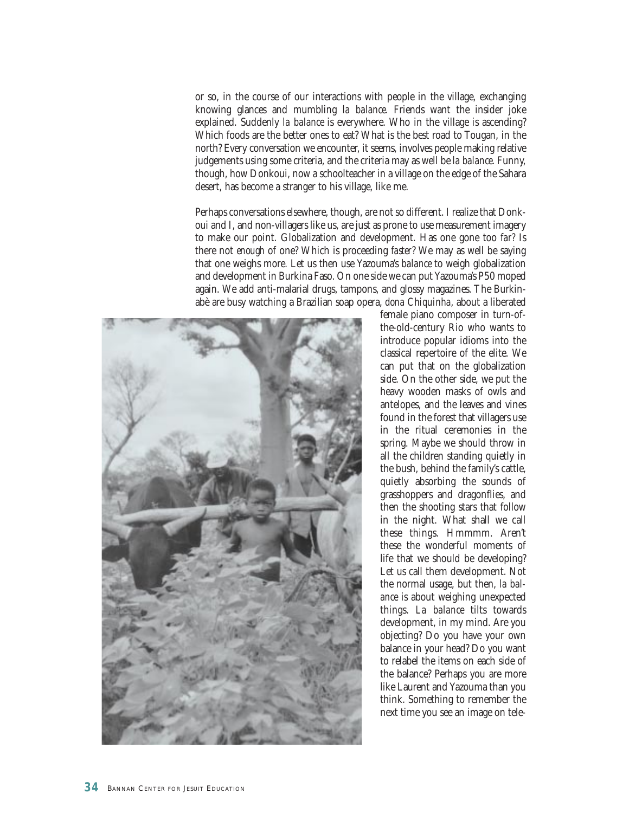or so, in the course of our interactions with people in the village, exchanging knowing glances and mumbling *la balance.* Friends want the insider joke explained. Suddenly *la balance* is everywhere. Who in the village is ascending? Which foods are the better ones to eat? What is the best road to Tougan, in the north? Every conversation we encounter, it seems, involves people making relative judgements using some criteria, and the criteria may as well be *la balance*. Funny, though, how Donkoui, now a schoolteacher in a village on the edge of the Sahara desert, has become a stranger to his village, like me.

Perhaps conversations elsewhere, though, are not so different. I realize that Donkoui and I, and non-villagers like us, are just as prone to use measurement imagery to make our point. Globalization and development. Has one gone too *far?* Is there not *enough* of one? Which is proceeding *faster*? We may as well be saying that one weighs more. Let us then use Yazouma's *balance* to weigh globalization and development in Burkina Faso. On one side we can put Yazouma's P50 moped again. We add anti-malarial drugs, tampons, and glossy magazines. The Burkinabè are busy watching a Brazilian soap opera, *dona Chiquinha*, about a liberated

![](_page_33_Picture_2.jpeg)

female piano composer in turn-ofthe-old-century Rio who wants to introduce popular idioms into the classical repertoire of the elite. We can put that on the globalization side. On the other side, we put the heavy wooden masks of owls and antelopes, and the leaves and vines found in the forest that villagers use in the ritual ceremonies in the spring. Maybe we should throw in all the children standing quietly in the bush, behind the family's cattle, quietly absorbing the sounds of grasshoppers and dragonflies, and then the shooting stars that follow in the night. What shall we call these things. Hmmmm. Aren't these the wonderful moments of life that we should be developing? Let us call them development. Not the normal usage, but then, *la balance* is about weighing unexpected things. *La balance* tilts towards development, in my mind. Are you objecting? Do you have your own balance in your head? Do you want to relabel the items on each side of the balance? Perhaps you are more like Laurent and Yazouma than you think. Something to remember the next time you see an image on tele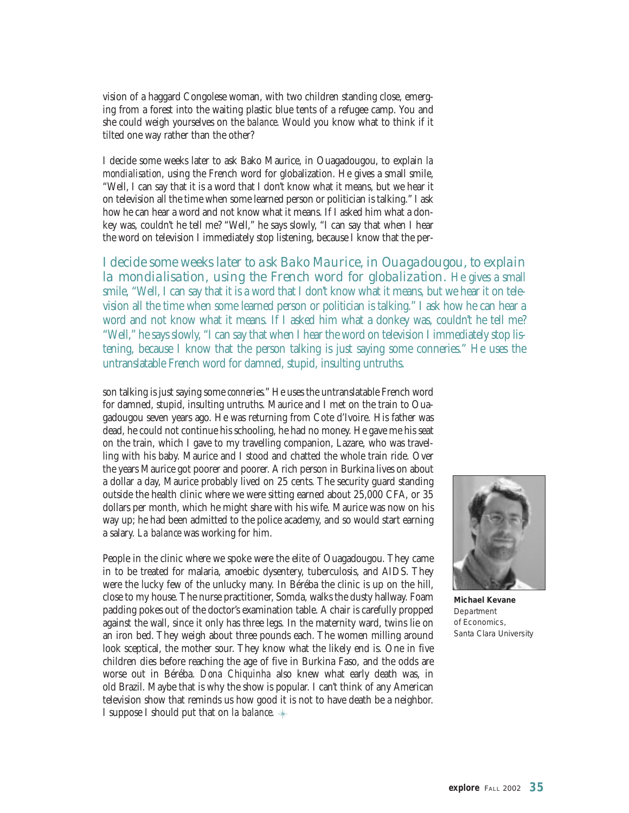vision of a haggard Congolese woman, with two children standing close, emerging from a forest into the waiting plastic blue tents of a refugee camp. You and she could weigh yourselves on the *balance*. Would you know what to think if it tilted one way rather than the other?

I decide some weeks later to ask Bako Maurice, in Ouagadougou, to explain *la mondialisation*, using the French word for globalization. He gives a small smile, "Well, I can say that it is a word that I don't know what it means, but we hear it on television all the time when some learned person or politician is talking." I ask how he can hear a word and not know what it means. If I asked him what a donkey was, couldn't he tell me? "Well," he says slowly, "I can say that when I hear the word on television I immediately stop listening, because I know that the per-

*I decide some weeks later to ask Bako Maurice, in Ouagadougou, to explain la mondialisation, using the French word for globalization.* He gives a small smile, "Well, I can say that it is a word that I don't know what it means, but we hear it on television all the time when some learned person or politician is talking." I ask how he can hear a word and not know what it means. If I asked him what a donkey was, couldn't he tell me? "Well," he says slowly, "I can say that when I hear the word on television I immediately stop listening, because I know that the person talking is just saying some conneries." He uses the untranslatable French word for damned, stupid, insulting untruths.

son talking is just saying some *conneries*." He uses the untranslatable French word for damned, stupid, insulting untruths. Maurice and I met on the train to Ouagadougou seven years ago. He was returning from Cote d'Ivoire. His father was dead, he could not continue his schooling, he had no money. He gave me his seat on the train, which I gave to my travelling companion, Lazare, who was travelling with his baby. Maurice and I stood and chatted the whole train ride. Over the years Maurice got poorer and poorer. A rich person in Burkina lives on about a dollar a day, Maurice probably lived on 25 cents. The security guard standing outside the health clinic where we were sitting earned about 25,000 CFA, or 35 dollars per month, which he might share with his wife. Maurice was now on his way up; he had been admitted to the police academy, and so would start earning a salary. *La balance* was working for him.

People in the clinic where we spoke were the elite of Ouagadougou. They came in to be treated for malaria, amoebic dysentery, tuberculosis, and AIDS. They were the lucky few of the unlucky many. In Béréba the clinic is up on the hill, close to my house. The nurse practitioner, Somda, walks the dusty hallway. Foam padding pokes out of the doctor's examination table. A chair is carefully propped against the wall, since it only has three legs. In the maternity ward, twins lie on an iron bed. They weigh about three pounds each. The women milling around look sceptical, the mother sour. They know what the likely end is. One in five children dies before reaching the age of five in Burkina Faso, and the odds are worse out in Béréba. *Dona Chiquinha* also knew what early death was, in old Brazil. Maybe that is why the show is popular. I can't think of any American television show that reminds us how good it is not to have death be a neighbor. I suppose I should put that on *la balance*.

![](_page_34_Picture_5.jpeg)

**Michael Kevane** *Department of Economics, Santa Clara University*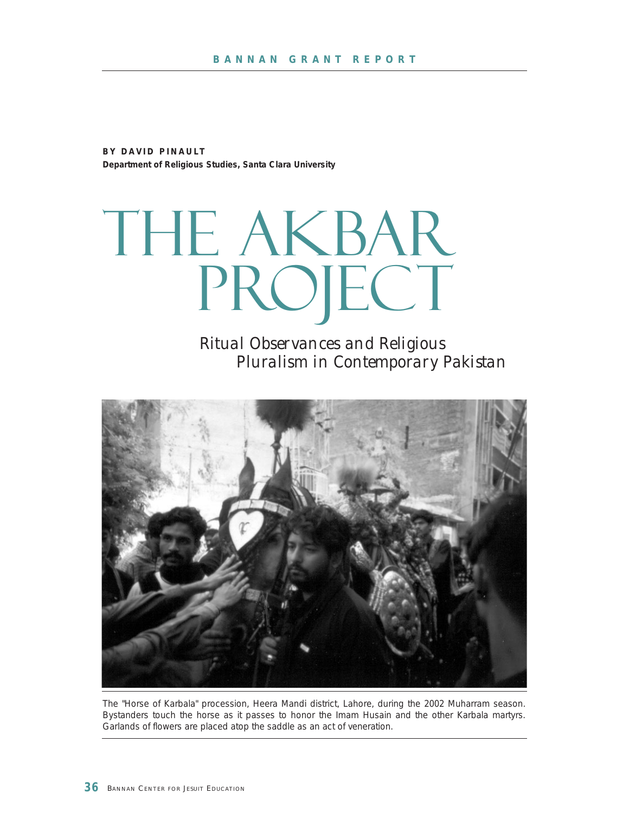**BY DAVID PINAULT Department of Religious Studies, Santa Clara University**

THE AKBAR PROJECT

> *Ritual Observances and Religious Pluralism in Contemporary Pakistan*

![](_page_35_Picture_4.jpeg)

The "Horse of Karbala" procession, Heera Mandi district, Lahore, during the 2002 Muharram season. Bystanders touch the horse as it passes to honor the Imam Husain and the other Karbala martyrs. Garlands of flowers are placed atop the saddle as an act of veneration.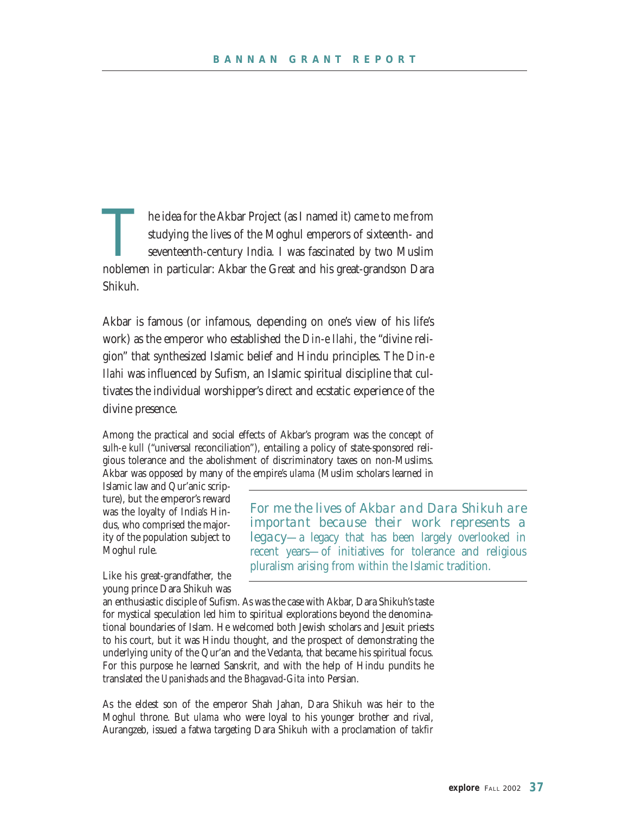The idea for the Akbar Project (as I named it) came to me from studying the lives of the Moghul emperors of sixteenth- and seventeenth-century India. I was fascinated by two Muslim noblemen in particular: Akbar the Great and his great-grandson Dara Shikuh.

Akbar is famous (or infamous, depending on one's view of his life's work) as the emperor who established the *Din-e Ilahi*, the "divine religion" that synthesized Islamic belief and Hindu principles. The *Din-e Ilahi* was influenced by Sufism, an Islamic spiritual discipline that cultivates the individual worshipper's direct and ecstatic experience of the divine presence.

Among the practical and social effects of Akbar's program was the concept of *sulh-e kull* ("universal reconciliation"), entailing a policy of state-sponsored religious tolerance and the abolishment of discriminatory taxes on non-Muslims. Akbar was opposed by many of the empire's *ulama* (Muslim scholars learned in

Islamic law and Qur'anic scripture), but the emperor's reward was the loyalty of India's Hindus, who comprised the majority of the population subject to Moghul rule.

Like his great-grandfather, the young prince Dara Shikuh was *For me the lives of Akbar and Dara Shikuh are important because their work represents a legacy*—a legacy that has been largely overlooked in recent years—of initiatives for tolerance and religious pluralism arising from within the Islamic tradition.

an enthusiastic disciple of Sufism. As was the case with Akbar, Dara Shikuh's taste for mystical speculation led him to spiritual explorations beyond the denominational boundaries of Islam. He welcomed both Jewish scholars and Jesuit priests to his court, but it was Hindu thought, and the prospect of demonstrating the underlying unity of the Qur'an and the Vedanta, that became his spiritual focus. For this purpose he learned Sanskrit, and with the help of Hindu pundits he translated the *Upanishads* and the *Bhagavad-Gita* into Persian.

As the eldest son of the emperor Shah Jahan, Dara Shikuh was heir to the Moghul throne. But *ulama* who were loyal to his younger brother and rival, Aurangzeb, issued a fatwa targeting Dara Shikuh with a proclamation of *takfir*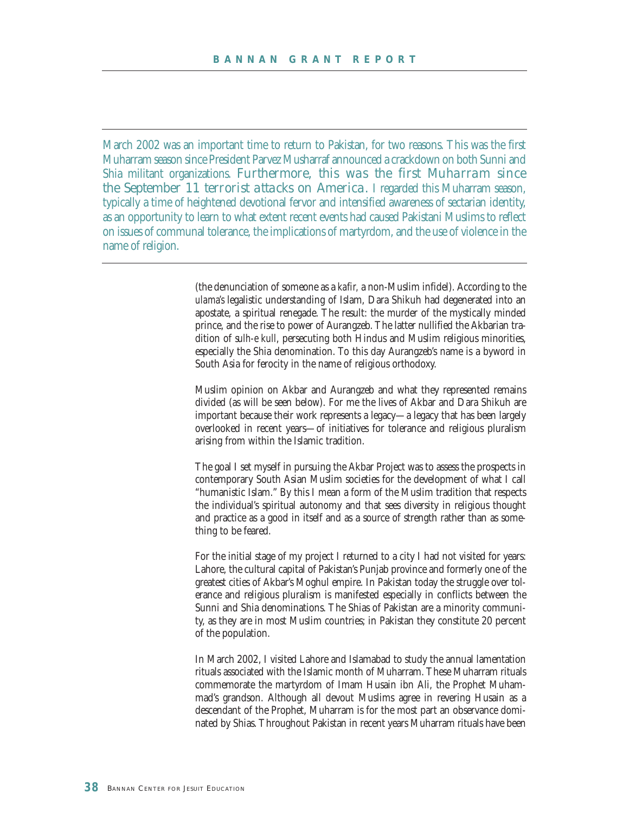March 2002 was an important time to return to Pakistan, for two reasons. This was the first Muharram season since President Parvez Musharraf announced a crackdown on both Sunni and Shia militant organizations. *Furthermore, this was the first Muharram since the September 11 terrorist attacks on America.* I regarded this Muharram season, typically a time of heightened devotional fervor and intensified awareness of sectarian identity, as an opportunity to learn to what extent recent events had caused Pakistani Muslims to reflect on issues of communal tolerance, the implications of martyrdom, and the use of violence in the name of religion.

> (the denunciation of someone as a *kafir,* a non-Muslim infidel). According to the *ulama's* legalistic understanding of Islam, Dara Shikuh had degenerated into an apostate, a spiritual renegade. The result: the murder of the mystically minded prince, and the rise to power of Aurangzeb. The latter nullified the Akbarian tradition of *sulh-e kull*, persecuting both Hindus and Muslim religious minorities, especially the Shia denomination. To this day Aurangzeb's name is a byword in South Asia for ferocity in the name of religious orthodoxy.

> Muslim opinion on Akbar and Aurangzeb and what they represented remains divided (as will be seen below). For me the lives of Akbar and Dara Shikuh are important because their work represents a legacy—a legacy that has been largely overlooked in recent years—of initiatives for tolerance and religious pluralism arising from within the Islamic tradition.

> The goal I set myself in pursuing the Akbar Project was to assess the prospects in contemporary South Asian Muslim societies for the development of what I call "humanistic Islam." By this I mean a form of the Muslim tradition that respects the individual's spiritual autonomy and that sees diversity in religious thought and practice as a good in itself and as a source of strength rather than as something to be feared.

> For the initial stage of my project I returned to a city I had not visited for years: Lahore, the cultural capital of Pakistan's Punjab province and formerly one of the greatest cities of Akbar's Moghul empire. In Pakistan today the struggle over tolerance and religious pluralism is manifested especially in conflicts between the Sunni and Shia denominations. The Shias of Pakistan are a minority community, as they are in most Muslim countries; in Pakistan they constitute 20 percent of the population.

> In March 2002, I visited Lahore and Islamabad to study the annual lamentation rituals associated with the Islamic month of Muharram. These Muharram rituals commemorate the martyrdom of Imam Husain ibn Ali, the Prophet Muhammad's grandson. Although all devout Muslims agree in revering Husain as a descendant of the Prophet, Muharram is for the most part an observance dominated by Shias. Throughout Pakistan in recent years Muharram rituals have been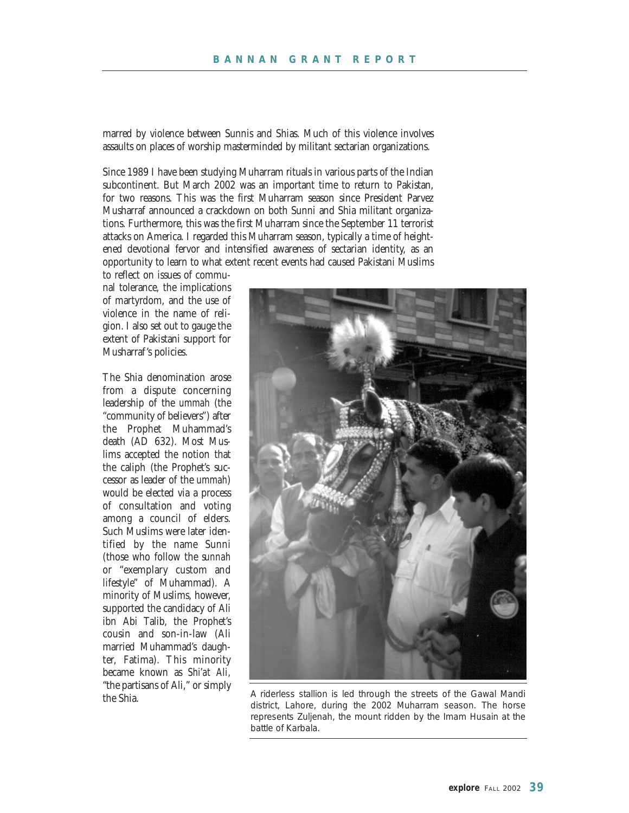marred by violence between Sunnis and Shias. Much of this violence involves assaults on places of worship masterminded by militant sectarian organizations.

Since 1989 I have been studying Muharram rituals in various parts of the Indian subcontinent. But March 2002 was an important time to return to Pakistan, for two reasons. This was the first Muharram season since President Parvez Musharraf announced a crackdown on both Sunni and Shia militant organizations. Furthermore, this was the first Muharram since the September 11 terrorist attacks on America. I regarded this Muharram season, typically a time of heightened devotional fervor and intensified awareness of sectarian identity, as an opportunity to learn to what extent recent events had caused Pakistani Muslims

to reflect on issues of communal tolerance, the implications of martyrdom, and the use of violence in the name of religion. I also set out to gauge the extent of Pakistani support for Musharraf's policies.

The Shia denomination arose from a dispute concerning leadership of the *ummah* (the "community of believers") after the Prophet Muhammad's death (AD 632). Most Muslims accepted the notion that the caliph (the Prophet's successor as leader of the *ummah*) would be elected via a process of consultation and voting among a council of elders. Such Muslims were later identified by the name Sunni (those who follow the *sunnah* or "exemplary custom and lifestyle" of Muhammad). A minority of Muslims, however, supported the candidacy of Ali ibn Abi Talib, the Prophet's cousin and son-in-law (Ali married Muhammad's daughter, Fatima). This minority became known as *Shi'at Ali,* "the partisans of Ali," or simply

![](_page_38_Picture_5.jpeg)

the Shia. A riderless stallion is led through the streets of the Gawal Mandi district, Lahore, during the 2002 Muharram season. The horse represents Zuljenah, the mount ridden by the Imam Husain at the battle of Karbala.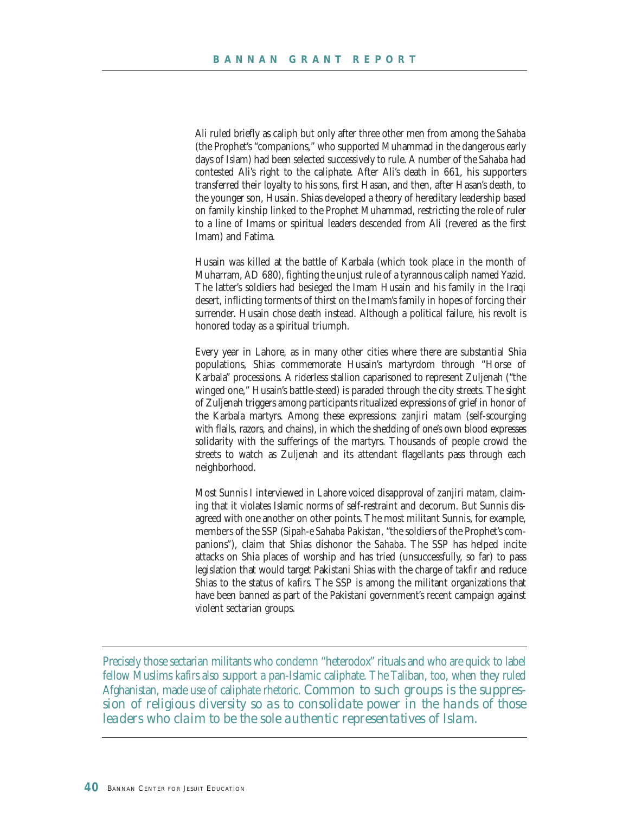Ali ruled briefly as caliph but only after three other men from among the *Sahaba* (the Prophet's "companions," who supported Muhammad in the dangerous early days of Islam) had been selected successively to rule. A number of the *Sahaba* had contested Ali's right to the caliphate. After Ali's death in 661, his supporters transferred their loyalty to his sons, first Hasan, and then, after Hasan's death, to the younger son, Husain. Shias developed a theory of hereditary leadership based on family kinship linked to the Prophet Muhammad, restricting the role of ruler to a line of Imams or spiritual leaders descended from Ali (revered as the first Imam) and Fatima.

Husain was killed at the battle of Karbala (which took place in the month of Muharram, AD 680), fighting the unjust rule of a tyrannous caliph named Yazid. The latter's soldiers had besieged the Imam Husain and his family in the Iraqi desert, inflicting torments of thirst on the Imam's family in hopes of forcing their surrender. Husain chose death instead. Although a political failure, his revolt is honored today as a spiritual triumph.

Every year in Lahore, as in many other cities where there are substantial Shia populations, Shias commemorate Husain's martyrdom through "Horse of Karbala" processions. A riderless stallion caparisoned to represent Zuljenah ("the winged one," Husain's battle-steed) is paraded through the city streets. The sight of Zuljenah triggers among participants ritualized expressions of grief in honor of the Karbala martyrs. Among these expressions: *zanjiri matam* (self-scourging with flails, razors, and chains), in which the shedding of one's own blood expresses solidarity with the sufferings of the martyrs. Thousands of people crowd the streets to watch as Zuljenah and its attendant flagellants pass through each neighborhood.

Most Sunnis I interviewed in Lahore voiced disapproval of *zanjiri matam,* claiming that it violates Islamic norms of self-restraint and decorum. But Sunnis disagreed with one another on other points. The most militant Sunnis, for example, members of the SSP (*Sipah-e Sahaba Pakistan*, "the soldiers of the Prophet's companions"), claim that Shias dishonor the *Sahaba*. The SSP has helped incite attacks on Shia places of worship and has tried (unsuccessfully, so far) to pass legislation that would target Pakistani Shias with the charge of *takfir* and reduce Shias to the status of *kafirs*. The SSP is among the militant organizations that have been banned as part of the Pakistani government's recent campaign against violent sectarian groups.

Precisely those sectarian militants who condemn "heterodox" rituals and who are quick to label fellow Muslims *kafirs* also support a pan-Islamic caliphate. The Taliban, too, when they ruled Afghanistan, made use of caliphate rhetoric. *Common to such groups is the suppression of religious diversity so as to consolidate power in the hands of those leaders who claim to be the sole authentic representatives of Islam.*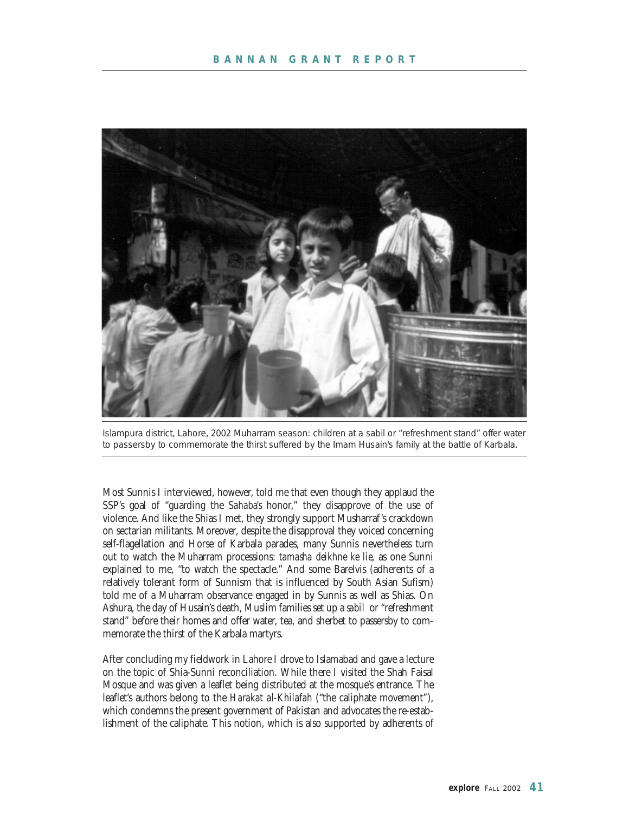![](_page_40_Picture_1.jpeg)

Islampura district, Lahore, 2002 Muharram season: children at a *sabil* or "refreshment stand" offer water to passersby to commemorate the thirst suffered by the Imam Husain's family at the battle of Karbala.

Most Sunnis I interviewed, however, told me that even though they applaud the SSP's goal of "guarding the *Sahaba's* honor," they disapprove of the use of violence. And like the Shias I met, they strongly support Musharraf's crackdown on sectarian militants. Moreover, despite the disapproval they voiced concerning self-flagellation and Horse of Karbala parades, many Sunnis nevertheless turn out to watch the Muharram processions: *tamasha deikhne ke lie,* as one Sunni explained to me, "to watch the spectacle." And some Barelvis (adherents of a relatively tolerant form of Sunnism that is influenced by South Asian Sufism) told me of a Muharram observance engaged in by Sunnis as well as Shias. On Ashura, the day of Husain's death, Muslim families set up a *sabil* or "refreshment stand" before their homes and offer water, tea, and sherbet to passersby to commemorate the thirst of the Karbala martyrs.

After concluding my fieldwork in Lahore I drove to Islamabad and gave a lecture on the topic of Shia-Sunni reconciliation. While there I visited the Shah Faisal Mosque and was given a leaflet being distributed at the mosque's entrance. The leaflet's authors belong to the *Harakat al-Khilafah* ("the caliphate movement"), which condemns the present government of Pakistan and advocates the re-establishment of the caliphate. This notion, which is also supported by adherents of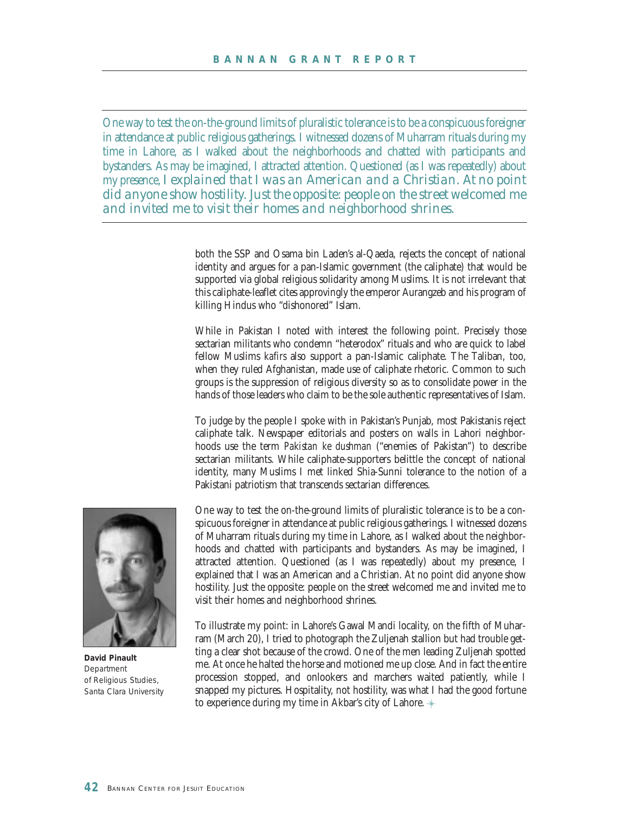One way to test the on-the-ground limits of pluralistic tolerance is to be a conspicuous foreigner in attendance at public religious gatherings. I witnessed dozens of Muharram rituals during my time in Lahore, as I walked about the neighborhoods and chatted with participants and bystanders. As may be imagined, I attracted attention. Questioned (as I was repeatedly) about my presence, *I explained that I was an American and a Christian. At no point did anyone show hostility. Just the opposite: people on the street welcomed me and invited me to visit their homes and neighborhood shrines.* 

> both the SSP and Osama bin Laden's al-Qaeda, rejects the concept of national identity and argues for a pan-Islamic government (the caliphate) that would be supported via global religious solidarity among Muslims. It is not irrelevant that this caliphate-leaflet cites approvingly the emperor Aurangzeb and his program of killing Hindus who "dishonored" Islam.

> While in Pakistan I noted with interest the following point. Precisely those sectarian militants who condemn "heterodox" rituals and who are quick to label fellow Muslims *kafirs* also support a pan-Islamic caliphate. The Taliban, too, when they ruled Afghanistan, made use of caliphate rhetoric. Common to such groups is the suppression of religious diversity so as to consolidate power in the hands of those leaders who claim to be the sole authentic representatives of Islam.

> To judge by the people I spoke with in Pakistan's Punjab, most Pakistanis reject caliphate talk. Newspaper editorials and posters on walls in Lahori neighborhoods use the term *Pakistan ke dushman* ("enemies of Pakistan") to describe sectarian militants. While caliphate-supporters belittle the concept of national identity, many Muslims I met linked Shia-Sunni tolerance to the notion of a Pakistani patriotism that transcends sectarian differences.

![](_page_41_Picture_5.jpeg)

**David Pinault** *Department of Religious Studies, Santa Clara University*

One way to test the on-the-ground limits of pluralistic tolerance is to be a conspicuous foreigner in attendance at public religious gatherings. I witnessed dozens of Muharram rituals during my time in Lahore, as I walked about the neighborhoods and chatted with participants and bystanders. As may be imagined, I attracted attention. Questioned (as I was repeatedly) about my presence, I explained that I was an American and a Christian. At no point did anyone show hostility. Just the opposite: people on the street welcomed me and invited me to visit their homes and neighborhood shrines.

To illustrate my point: in Lahore's Gawal Mandi locality, on the fifth of Muharram (March 20), I tried to photograph the Zuljenah stallion but had trouble getting a clear shot because of the crowd. One of the men leading Zuljenah spotted me. At once he halted the horse and motioned me up close. And in fact the entire procession stopped, and onlookers and marchers waited patiently, while I snapped my pictures. Hospitality, not hostility, was what I had the good fortune to experience during my time in Akbar's city of Lahore.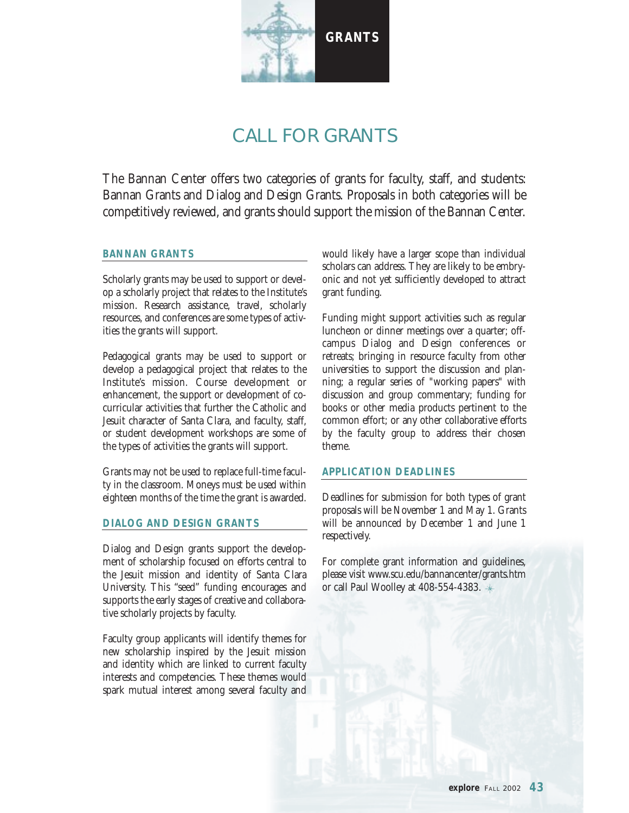![](_page_42_Picture_0.jpeg)

## CALL FOR GRANTS

The Bannan Center offers two categories of grants for faculty, staff, and students: Bannan Grants and Dialog and Design Grants. Proposals in both categories will be competitively reviewed, and grants should support the mission of the Bannan Center.

#### **BANNAN GRANTS**

Scholarly grants may be used to support or develop a scholarly project that relates to the Institute's mission. Research assistance, travel, scholarly resources, and conferences are some types of activities the grants will support.

Pedagogical grants may be used to support or develop a pedagogical project that relates to the Institute's mission. Course development or enhancement, the support or development of cocurricular activities that further the Catholic and Jesuit character of Santa Clara, and faculty, staff, or student development workshops are some of the types of activities the grants will support.

Grants may not be used to replace full-time faculty in the classroom. Moneys must be used within eighteen months of the time the grant is awarded.

#### **DIALOG AND DESIGN GRANTS**

Dialog and Design grants support the development of scholarship focused on efforts central to the Jesuit mission and identity of Santa Clara University. This "seed" funding encourages and supports the early stages of creative and collaborative scholarly projects by faculty.

Faculty group applicants will identify themes for new scholarship inspired by the Jesuit mission and identity which are linked to current faculty interests and competencies. These themes would spark mutual interest among several faculty and

would likely have a larger scope than individual scholars can address. They are likely to be embryonic and not yet sufficiently developed to attract grant funding.

Funding might support activities such as regular luncheon or dinner meetings over a quarter; offcampus Dialog and Design conferences or retreats; bringing in resource faculty from other universities to support the discussion and planning; a regular series of "working papers" with discussion and group commentary; funding for books or other media products pertinent to the common effort; or any other collaborative efforts by the faculty group to address their chosen theme.

#### **APPLICATION DEADLINES**

Deadlines for submission for both types of grant proposals will be November 1 and May 1. Grants will be announced by December 1 and June 1 respectively.

For complete grant information and guidelines, please visit www.scu.edu/bannancenter/grants.htm or call Paul Woolley at 408-554-4383.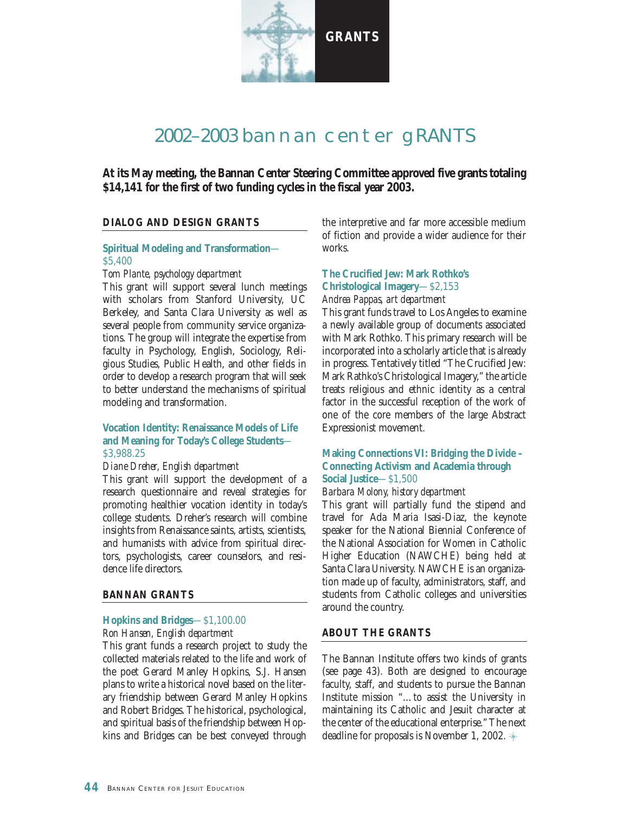![](_page_43_Picture_0.jpeg)

### 2002–2003 bannan center gRANTS

**At its May meeting, the Bannan Center Steering Committee approved five grants totaling \$14,141 for the first of two funding cycles in the fiscal year 2003.** 

#### **DIALOG AND DESIGN GRANTS**

#### **Spiritual Modeling and Transformation**— \$5,400

#### *Tom Plante, psychology department*

This grant will support several lunch meetings with scholars from Stanford University, UC Berkeley, and Santa Clara University as well as several people from community service organizations. The group will integrate the expertise from faculty in Psychology, English, Sociology, Religious Studies, Public Health, and other fields in order to develop a research program that will seek to better understand the mechanisms of spiritual modeling and transformation.

#### **Vocation Identity: Renaissance Models of Life and Meaning for Today's College Students**— \$3,988.25

#### *Diane Dreher, English department*

This grant will support the development of a research questionnaire and reveal strategies for promoting healthier vocation identity in today's college students. Dreher's research will combine insights from Renaissance saints, artists, scientists, and humanists with advice from spiritual directors, psychologists, career counselors, and residence life directors.

#### **BANNAN GRANTS**

#### **Hopkins and Bridges**—\$1,100.00 *Ron Hansen, English department*

This grant funds a research project to study the collected materials related to the life and work of the poet Gerard Manley Hopkins, S.J. Hansen plans to write a historical novel based on the literary friendship between Gerard Manley Hopkins and Robert Bridges. The historical, psychological, and spiritual basis of the friendship between Hopkins and Bridges can be best conveyed through the interpretive and far more accessible medium of fiction and provide a wider audience for their works.

#### **The Crucified Jew: Mark Rothko's Christological Imagery**—\$2,153 *Andrea Pappas, art department*

This grant funds travel to Los Angeles to examine a newly available group of documents associated with Mark Rothko. This primary research will be incorporated into a scholarly article that is already in progress. Tentatively titled "The Crucified Jew: Mark Rathko's Christological Imagery," the article treats religious and ethnic identity as a central factor in the successful reception of the work of one of the core members of the large Abstract Expressionist movement.

#### **Making Connections VI: Bridging the Divide – Connecting Activism and Academia through Social Justice**—\$1,500

#### *Barbara Molony, history department*

This grant will partially fund the stipend and travel for Ada Maria Isasi-Diaz, the keynote speaker for the National Biennial Conference of the National Association for Women in Catholic Higher Education (NAWCHE) being held at Santa Clara University. NAWCHE is an organization made up of faculty, administrators, staff, and students from Catholic colleges and universities around the country.

#### **ABOUT THE GRANTS**

The Bannan Institute offers two kinds of grants (see page 43). Both are designed to encourage faculty, staff, and students to pursue the Bannan Institute mission "…to assist the University in maintaining its Catholic and Jesuit character at the center of the educational enterprise." The next deadline for proposals is November 1, 2002.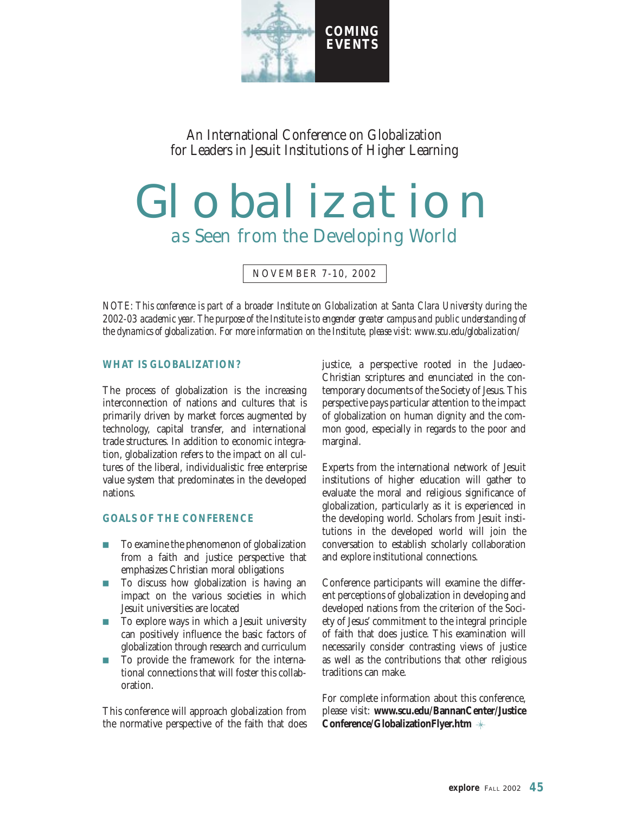![](_page_44_Picture_0.jpeg)

An International Conference on Globalization for Leaders in Jesuit Institutions of Higher Learning

# Globalization *as Seen from the Developing World*

NOVEMBER 7-10, 2002

*NOTE: This conference is part of a broader Institute on Globalization at Santa Clara University during the 2002-03 academic year. The purpose of the Institute is to engender greater campus and public understanding of the dynamics of globalization. For more information on the Institute, please visit: www.scu.edu/globalization/*

#### **WHAT IS GLOBALIZATION?**

The process of globalization is the increasing interconnection of nations and cultures that is primarily driven by market forces augmented by technology, capital transfer, and international trade structures. In addition to economic integration, globalization refers to the impact on all cultures of the liberal, individualistic free enterprise value system that predominates in the developed nations.

#### **GOALS OF THE CONFERENCE**

- To examine the phenomenon of globalization from a faith and justice perspective that emphasizes Christian moral obligations
- **n** To discuss how globalization is having an impact on the various societies in which Jesuit universities are located
- <sup>n</sup> To explore ways in which a Jesuit university can positively influence the basic factors of globalization through research and curriculum
- n To provide the framework for the international connections that will foster this collaboration.

This conference will approach globalization from the normative perspective of the faith that does justice, a perspective rooted in the Judaeo-Christian scriptures and enunciated in the contemporary documents of the Society of Jesus. This perspective pays particular attention to the impact of globalization on human dignity and the common good, especially in regards to the poor and marginal.

Experts from the international network of Jesuit institutions of higher education will gather to evaluate the moral and religious significance of globalization, particularly as it is experienced in the developing world. Scholars from Jesuit institutions in the developed world will join the conversation to establish scholarly collaboration and explore institutional connections.

Conference participants will examine the different perceptions of globalization in developing and developed nations from the criterion of the Society of Jesus' commitment to the integral principle of faith that does justice. This examination will necessarily consider contrasting views of justice as well as the contributions that other religious traditions can make.

For complete information about this conference, please visit: **www.scu.edu/BannanCenter/Justice Conference/GlobalizationFlyer.htm**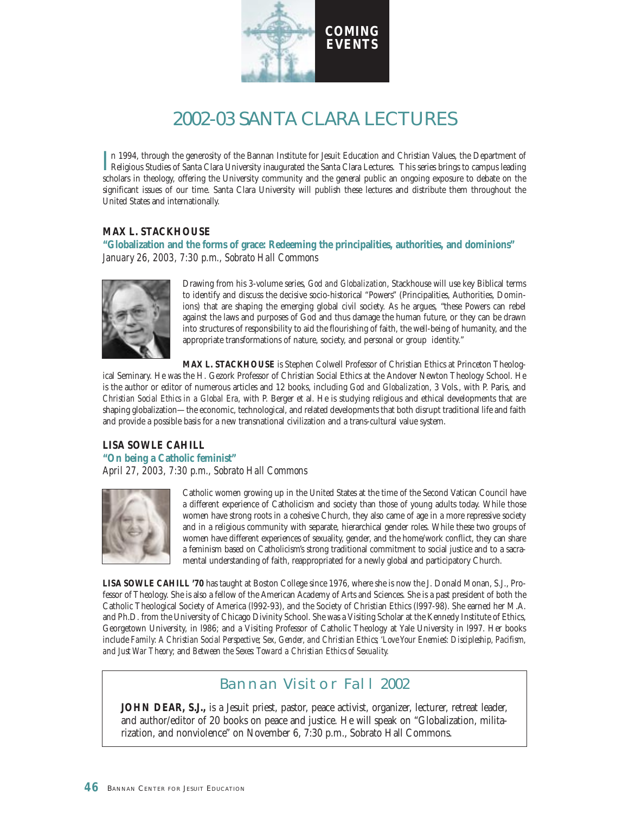![](_page_45_Picture_0.jpeg)

## 2002-03 SANTA CLARA LECTURES

In 1994, through the generosity of the Bannan Institute for Jesuit Education and Christian Values, the Department of<br>Religious Studies of Santa Clara University inaugurated the Santa Clara Lectures. This series brings to c n 1994, through the generosity of the Bannan Institute for Jesuit Education and Christian Values, the Department of scholars in theology, offering the University community and the general public an ongoing exposure to debate on the significant issues of our time. Santa Clara University will publish these lectures and distribute them throughout the United States and internationally.

#### **MAX L. STACKHOUSE**

**"Globalization and the forms of grace: Redeeming the principalities, authorities, and dominions"** *January 26, 2003, 7:30 p.m., Sobrato Hall Commons*

![](_page_45_Picture_5.jpeg)

Drawing from his 3-volume series, *God and Globalization*, Stackhouse will use key Biblical terms to identify and discuss the decisive socio-historical "Powers" (Principalities, Authorities, Dominions) that are shaping the emerging global civil society. As he argues, "these Powers can rebel against the laws and purposes of God and thus damage the human future, or they can be drawn into structures of responsibility to aid the flourishing of faith, the well-being of humanity, and the appropriate transformations of nature, society, and personal or group identity."

**MAX L. STACKHOUSE** is Stephen Colwell Professor of Christian Ethics at Princeton Theological Seminary. He was the H. Gezork Professor of Christian Social Ethics at the Andover Newton Theology School. He is the author or editor of numerous articles and 12 books, including *God and Globalization,* 3 Vols., with P. Paris, and *Christian Social Ethics in a Global Era,* with P. Berger et al. He is studying religious and ethical developments that are shaping globalization—the economic, technological, and related developments that both disrupt traditional life and faith and provide a possible basis for a new transnational civilization and a trans-cultural value system.

#### **LISA SOWLE CAHILL "On being a Catholic feminist"** *April 27, 2003, 7:30 p.m., Sobrato Hall Commons*

![](_page_45_Picture_9.jpeg)

Catholic women growing up in the United States at the time of the Second Vatican Council have a different experience of Catholicism and society than those of young adults today. While those women have strong roots in a cohesive Church, they also came of age in a more repressive society and in a religious community with separate, hierarchical gender roles. While these two groups of women have different experiences of sexuality, gender, and the home/work conflict, they can share a feminism based on Catholicism's strong traditional commitment to social justice and to a sacramental understanding of faith, reappropriated for a newly global and participatory Church.

**LISA SOWLE CAHILL '70** has taught at Boston College since 1976, where she is now the J. Donald Monan, S.J., Professor of Theology. She is also a fellow of the American Academy of Arts and Sciences. She is a past president of both the Catholic Theological Society of America (l992-93), and the Society of Christian Ethics (l997-98). She earned her M.A. and Ph.D. from the University of Chicago Divinity School. She was a Visiting Scholar at the Kennedy Institute of Ethics, Georgetown University, in l986; and a Visiting Professor of Catholic Theology at Yale University in l997. Her books include *Family: A Christian Social Perspective; Sex, Gender, and Christian Ethics; 'Love Your Enemies': Discipleship, Pacifism, and Just War Theory;* and *Between the Sexes: Toward a Christian Ethics of Sexuality.*

#### Bannan Visitor Fall 2002

**JOHN DEAR, S.J.,** is a Jesuit priest, pastor, peace activist, organizer, lecturer, retreat leader, and author/editor of 20 books on peace and justice. He will speak on "Globalization, militarization, and nonviolence" on November 6, 7:30 p.m., Sobrato Hall Commons.